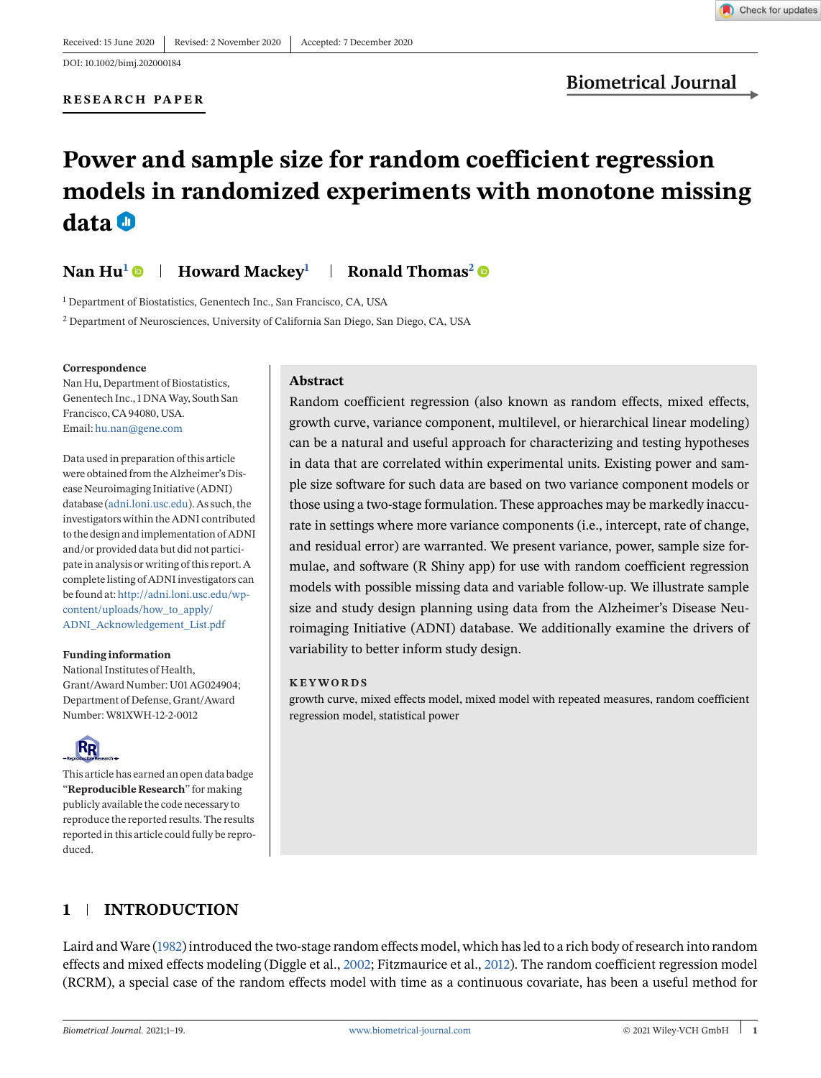DOI: 10.1002/bimj.202000184

# **Biometrical Journal**

#### **RESEARCH PAPER**

# **Power and sample size for random coefficient regression models in randomized experiments with monotone missing data**

# **Nan Hu<sup>1</sup>**  $\bullet$  **| Howard Mackey**<sup>1</sup> | **Ronald Thomas<sup>2</sup>**

<sup>1</sup> Department of Biostatistics, Genentech Inc., San Francisco, CA, USA

<sup>2</sup> Department of Neurosciences, University of California San Diego, San Diego, CA, USA

#### **Correspondence**

Nan Hu, Department of Biostatistics, Genentech Inc., 1 DNAWay, South San Francisco, CA 94080, USA. Email: [hu.nan@gene.com](mailto:hu.nan@gene.com)

Data used in preparation of this article were obtained from the Alzheimer's Disease Neuroimaging Initiative (ADNI) database [\(adni.loni.usc.edu\)](http://adni.loni.usc.edu). As such, the investigators within the ADNI contributed to the design and implementation of ADNI and/or provided data but did not participate in analysis or writing of this report. A complete listing of ADNI investigators can be found at: [http://adni.loni.usc.edu/wp](http://adni.loni.usc.edu/wp-content/uploads/how_to_apply/ADNI_Acknowledgement_List.pdf)[content/uploads/how\\_to\\_apply/](http://adni.loni.usc.edu/wp-content/uploads/how_to_apply/ADNI_Acknowledgement_List.pdf) [ADNI\\_Acknowledgement\\_List.pdf](http://adni.loni.usc.edu/wp-content/uploads/how_to_apply/ADNI_Acknowledgement_List.pdf)

#### **Funding information**

National Institutes of Health, Grant/Award Number: U01 AG024904; Department of Defense, Grant/Award Number:W81XWH-12-2-0012



This article has earned an open data badge "**Reproducible Research**" for making publicly available the code necessary to reproduce the reported results. The results reported in this article could fully be reproduced.

#### **Abstract**

Random coefficient regression (also known as random effects, mixed effects, growth curve, variance component, multilevel, or hierarchical linear modeling) can be a natural and useful approach for characterizing and testing hypotheses in data that are correlated within experimental units. Existing power and sample size software for such data are based on two variance component models or those using a two-stage formulation. These approaches may be markedly inaccurate in settings where more variance components (i.e., intercept, rate of change, and residual error) are warranted. We present variance, power, sample size formulae, and software (R Shiny app) for use with random coefficient regression models with possible missing data and variable follow-up. We illustrate sample size and study design planning using data from the Alzheimer's Disease Neuroimaging Initiative (ADNI) database. We additionally examine the drivers of variability to better inform study design.

#### **KEYWORDS**

growth curve, mixed effects model, mixed model with repeated measures, random coefficient regression model, statistical power

# **1 INTRODUCTION**

Laird and Ware [\(1982\)](#page-13-0) introduced the two-stage random effects model, which has led to a rich body of research into random effects and mixed effects modeling (Diggle et al., [2002;](#page-12-0) Fitzmaurice et al., [2012\)](#page-13-0). The random coefficient regression model (RCRM), a special case of the random effects model with time as a continuous covariate, has been a useful method for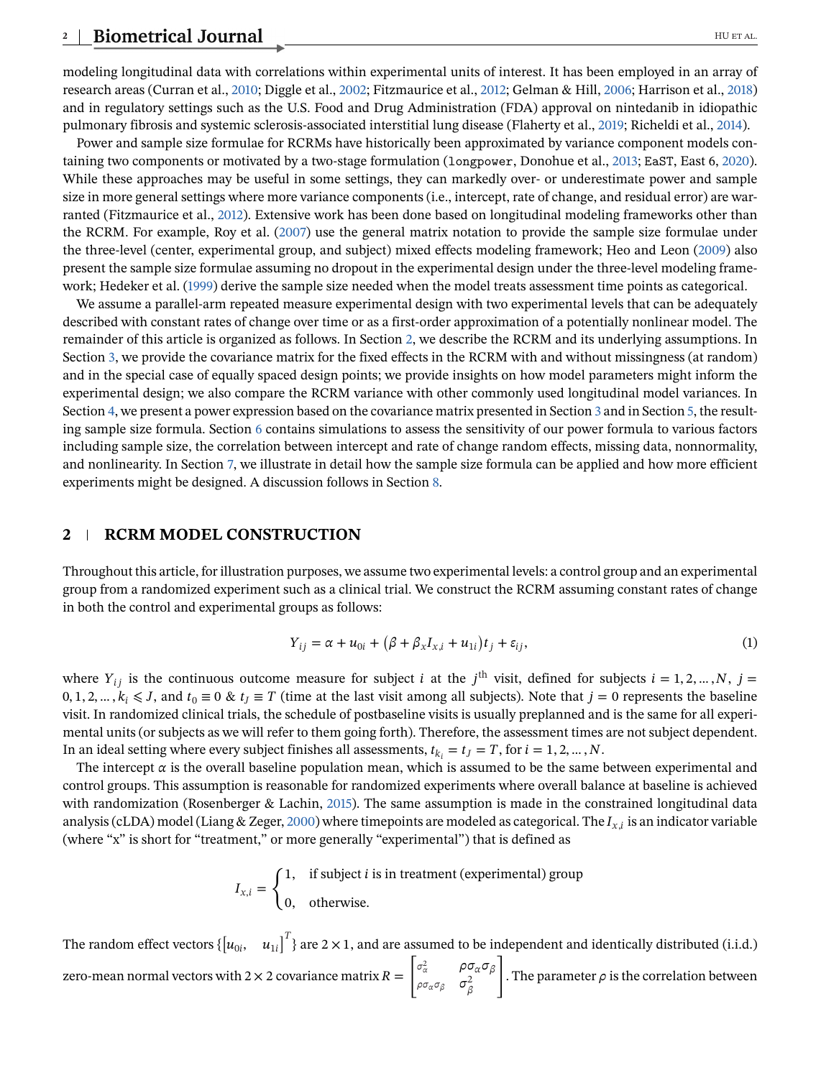<span id="page-1-0"></span>modeling longitudinal data with correlations within experimental units of interest. It has been employed in an array of research areas (Curran et al., [2010;](#page-12-0) Diggle et al., [2002;](#page-12-0) Fitzmaurice et al., [2012;](#page-13-0) Gelman & Hill, [2006;](#page-13-0) Harrison et al., [2018\)](#page-13-0) and in regulatory settings such as the U.S. Food and Drug Administration (FDA) approval on nintedanib in idiopathic pulmonary fibrosis and systemic sclerosis-associated interstitial lung disease (Flaherty et al., [2019;](#page-13-0) Richeldi et al., [2014\)](#page-13-0).

Power and sample size formulae for RCRMs have historically been approximated by variance component models containing two components or motivated by a two-stage formulation (longpower, Donohue et al., [2013;](#page-12-0) EaST, East 6, [2020\)](#page-13-0). While these approaches may be useful in some settings, they can markedly over- or underestimate power and sample size in more general settings where more variance components (i.e., intercept, rate of change, and residual error) are warranted (Fitzmaurice et al., [2012\)](#page-13-0). Extensive work has been done based on longitudinal modeling frameworks other than the RCRM. For example, Roy et al. [\(2007\)](#page-13-0) use the general matrix notation to provide the sample size formulae under the three-level (center, experimental group, and subject) mixed effects modeling framework; Heo and Leon [\(2009\)](#page-13-0) also present the sample size formulae assuming no dropout in the experimental design under the three-level modeling framework; Hedeker et al. [\(1999\)](#page-13-0) derive the sample size needed when the model treats assessment time points as categorical.

We assume a parallel-arm repeated measure experimental design with two experimental levels that can be adequately described with constant rates of change over time or as a first-order approximation of a potentially nonlinear model. The remainder of this article is organized as follows. In Section 2, we describe the RCRM and its underlying assumptions. In Section [3,](#page-2-0) we provide the covariance matrix for the fixed effects in the RCRM with and without missingness (at random) and in the special case of equally spaced design points; we provide insights on how model parameters might inform the experimental design; we also compare the RCRM variance with other commonly used longitudinal model variances. In Section [4,](#page-7-0) we present a power expression based on the covariance matrix presented in Section [3](#page-2-0) and in Section [5,](#page-7-0) the resulting sample size formula. Section [6](#page-7-0) contains simulations to assess the sensitivity of our power formula to various factors including sample size, the correlation between intercept and rate of change random effects, missing data, nonnormality, and nonlinearity. In Section [7,](#page-10-0) we illustrate in detail how the sample size formula can be applied and how more efficient experiments might be designed. A discussion follows in Section [8.](#page-11-0)

#### **2 RCRM MODEL CONSTRUCTION**

Throughout this article, for illustration purposes, we assume two experimental levels: a control group and an experimental group from a randomized experiment such as a clinical trial. We construct the RCRM assuming constant rates of change in both the control and experimental groups as follows:

$$
Y_{ij} = \alpha + u_{0i} + (\beta + \beta_x I_{x,i} + u_{1i})t_j + \varepsilon_{ij},
$$
\n(1)

where  $Y_{ij}$  is the continuous outcome measure for subject *i* at the j<sup>th</sup> visit, defined for subjects  $i = 1, 2, ..., N$ ,  $j =$ 0, 1, 2, …,  $k_i \leq J$ , and  $t_0 \equiv 0 \& t_j \equiv T$  (time at the last visit among all subjects). Note that  $j = 0$  represents the baseline visit. In randomized clinical trials, the schedule of postbaseline visits is usually preplanned and is the same for all experimental units (or subjects as we will refer to them going forth). Therefore, the assessment times are not subject dependent. In an ideal setting where every subject finishes all assessments,  $t_{k_i} = t_j = T$ , for  $i = 1, 2, ..., N$ .

The intercept  $\alpha$  is the overall baseline population mean, which is assumed to be the same between experimental and control groups. This assumption is reasonable for randomized experiments where overall balance at baseline is achieved with randomization (Rosenberger & Lachin, [2015\)](#page-13-0). The same assumption is made in the constrained longitudinal data analysis (cLDA) model (Liang & Zeger, [2000\)](#page-13-0) where timepoints are modeled as categorical. The  $I_{x,i}$  is an indicator variable (where "x" is short for "treatment," or more generally "experimental") that is defined as

$$
I_{x,i} = \begin{cases} 1, & \text{if subject } i \text{ is in treatment (experimental) group} \\ 0, & \text{otherwise.} \end{cases}
$$

The random effect vectors {  $[u_{0i}, u_{1i}]^T$ } are 2 × 1, and are assumed to be independent and identically distributed (i.i.d.) The random effect vectors  $\{u_{0i}, u_{1i}\}$  are  $2 \times 1$ , and are as<br>zero-mean normal vectors with  $2 \times 2$  covariance matrix  $R =$ σ $^2_{\alpha}$  ρσ<sub>α</sub>σ<sub>β</sub> ρσ<sub>α</sub>σ<sub>β</sub> σ $^2_{\beta}$ ]]<br>= . The parameter  $\rho$  is the correlation between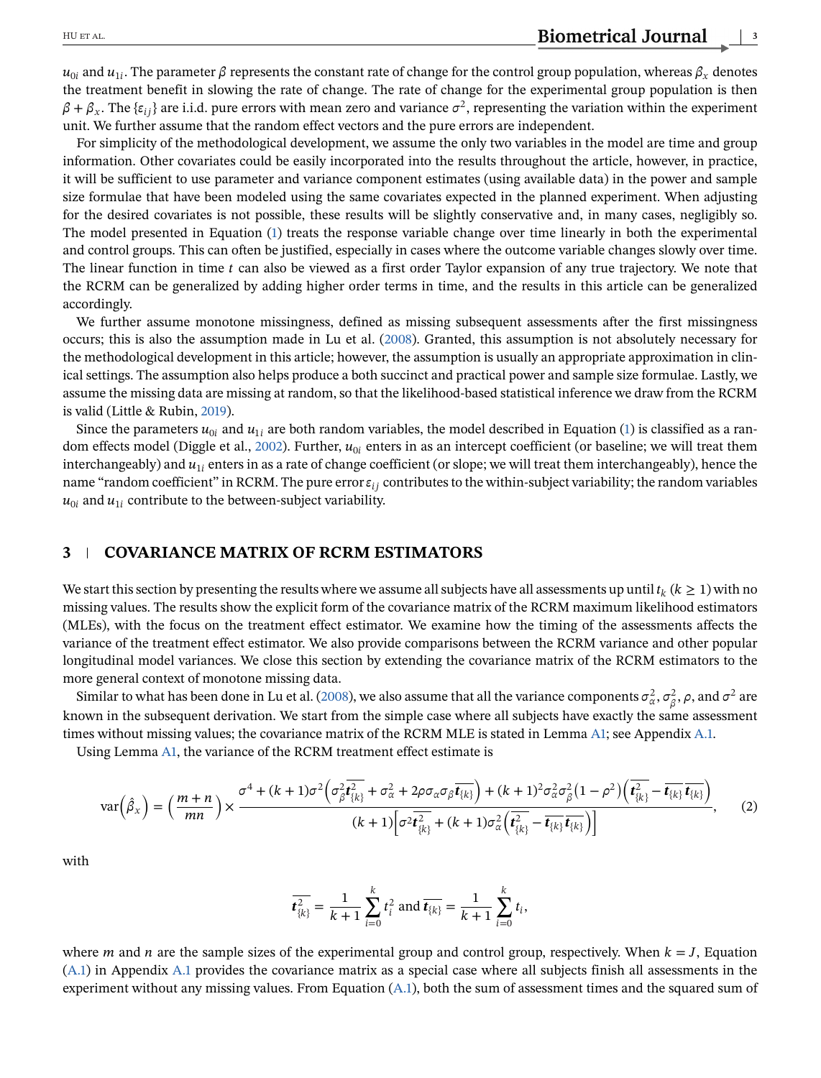<span id="page-2-0"></span> $u_{0i}$  and  $u_{1i}$ . The parameter  $\beta$  represents the constant rate of change for the control group population, whereas  $\beta_x$  denotes the treatment benefit in slowing the rate of change. The rate of change for the experimental group population is then  $\beta + \beta_{x}$ . The { $\epsilon_{ij}$ } are i.i.d. pure errors with mean zero and variance  $\sigma^2$ , representing the variation within the experiment unit. We further assume that the random effect vectors and the pure errors are independent.

For simplicity of the methodological development, we assume the only two variables in the model are time and group information. Other covariates could be easily incorporated into the results throughout the article, however, in practice, it will be sufficient to use parameter and variance component estimates (using available data) in the power and sample size formulae that have been modeled using the same covariates expected in the planned experiment. When adjusting for the desired covariates is not possible, these results will be slightly conservative and, in many cases, negligibly so. The model presented in Equation [\(1\)](#page-1-0) treats the response variable change over time linearly in both the experimental and control groups. This can often be justified, especially in cases where the outcome variable changes slowly over time. The linear function in time  $t$  can also be viewed as a first order Taylor expansion of any true trajectory. We note that the RCRM can be generalized by adding higher order terms in time, and the results in this article can be generalized accordingly.

We further assume monotone missingness, defined as missing subsequent assessments after the first missingness occurs; this is also the assumption made in Lu et al. [\(2008\)](#page-13-0). Granted, this assumption is not absolutely necessary for the methodological development in this article; however, the assumption is usually an appropriate approximation in clinical settings. The assumption also helps produce a both succinct and practical power and sample size formulae. Lastly, we assume the missing data are missing at random, so that the likelihood-based statistical inference we draw from the RCRM is valid (Little & Rubin, [2019\)](#page-13-0).

Since the parameters  $u_{0i}$  and  $u_{1i}$  are both random variables, the model described in Equation [\(1\)](#page-1-0) is classified as a ran-dom effects model (Diggle et al., [2002\)](#page-12-0). Further,  $u_{0i}$  enters in as an intercept coefficient (or baseline; we will treat them interchangeably) and  $u_{1i}$  enters in as a rate of change coefficient (or slope; we will treat them interchangeably), hence the name "random coefficient" in RCRM. The pure error  $\varepsilon_{ij}$  contributes to the within-subject variability; the random variables  $u_{0i}$  and  $u_{1i}$  contribute to the between-subject variability.

# **3 COVARIANCE MATRIX OF RCRM ESTIMATORS**

We start this section by presenting the results where we assume all subjects have all assessments up until  $t_k$  ( $k \ge 1$ ) with no missing values. The results show the explicit form of the covariance matrix of the RCRM maximum likelihood estimators (MLEs), with the focus on the treatment effect estimator. We examine how the timing of the assessments affects the variance of the treatment effect estimator. We also provide comparisons between the RCRM variance and other popular longitudinal model variances. We close this section by extending the covariance matrix of the RCRM estimators to the more general context of monotone missing data.

Similar to what has been done in Lu et al. [\(2008\)](#page-13-0), we also assume that all the variance components  $\sigma_\alpha^2,\sigma_\beta^2,\rho,$  and  $\sigma^2$  are known in the subsequent derivation. We start from the simple case where all subjects have exactly the same assessment times without missing values; the covariance matrix of the RCRM MLE is stated in Lemma [A1;](#page-14-0) see Appendix [A.1.](#page-14-0)

Using Lemma [A1,](#page-14-0) the variance of the RCRM treatment effect estimate is

$$
\text{var}\left(\hat{\beta}_x\right) = \left(\frac{m+n}{mn}\right) \times \frac{\sigma^4 + (k+1)\sigma^2 \left(\sigma_\beta^2 \overline{\mathbf{t}_{\{k\}}^2} + \sigma_\alpha^2 + 2\rho \sigma_\alpha \sigma_\beta \overline{\mathbf{t}_{\{k\}}}\right) + (k+1)^2 \sigma_\alpha^2 \sigma_\beta^2 (1-\rho^2) \left(\overline{\mathbf{t}_{\{k\}}^2} - \overline{\mathbf{t}_{\{k\}}}\overline{\mathbf{t}_{\{k\}}}\right)}{\left(k+1\right) \left[\sigma^2 \overline{\mathbf{t}_{\{k\}}^2} + (k+1)\sigma_\alpha^2 \left(\overline{\mathbf{t}_{\{k\}}^2} - \overline{\mathbf{t}_{\{k\}}}\overline{\mathbf{t}_{\{k\}}}\right)\right]},\tag{2}
$$

with

$$
\overline{t_{\{k\}}^2} = \frac{1}{k+1} \sum_{i=0}^k t_i^2 \text{ and } \overline{t_{\{k\}}} = \frac{1}{k+1} \sum_{i=0}^k t_i,
$$

where *m* and *n* are the sample sizes of the experimental group and control group, respectively. When  $k = J$ , Equation [\(A.1\)](#page-14-0) in Appendix [A.1](#page-14-0) provides the covariance matrix as a special case where all subjects finish all assessments in the experiment without any missing values. From Equation [\(A.1\)](#page-14-0), both the sum of assessment times and the squared sum of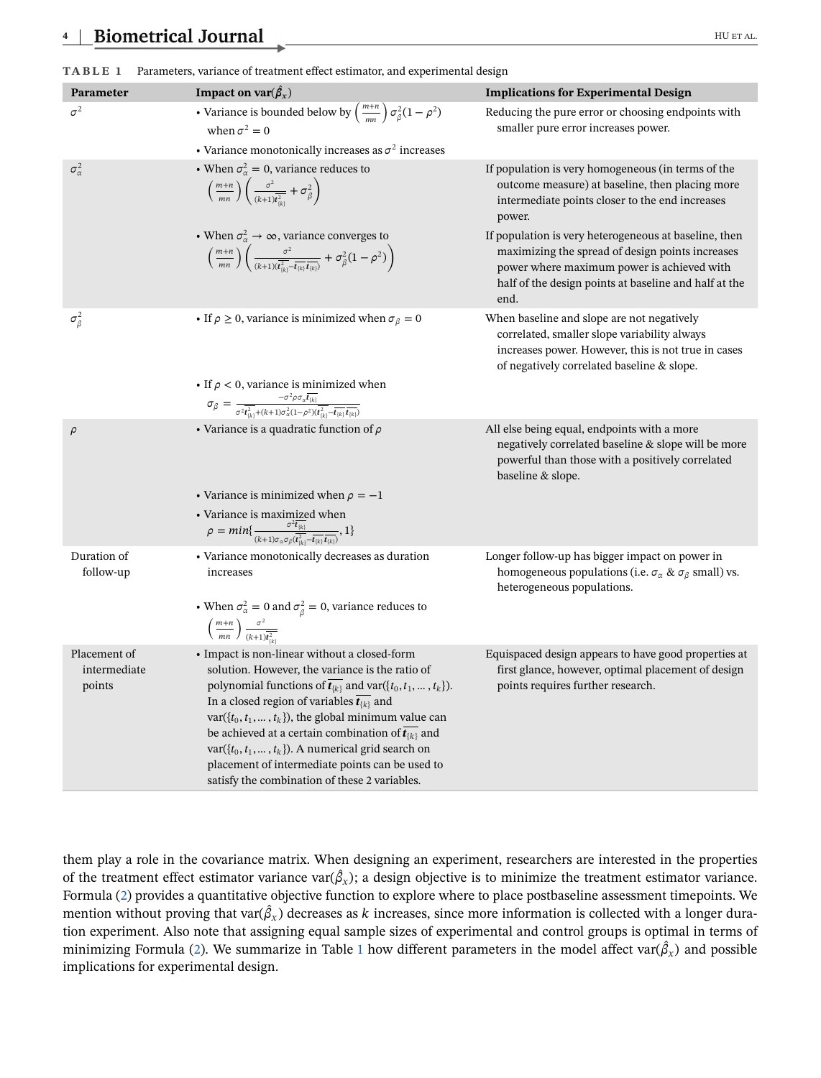<span id="page-3-0"></span>

| <b>TABLE 1</b> Parameters, variance of treatment effect estimator, and experimental design |  |
|--------------------------------------------------------------------------------------------|--|
|--------------------------------------------------------------------------------------------|--|

| Parameter                              | Impact on var $(\hat{\beta}_x)$                                                                                                                                                                                                                                                                                                                                                                                                                                                                                                                                                                             | <b>Implications for Experimental Design</b>                                                                                                                                                                              |
|----------------------------------------|-------------------------------------------------------------------------------------------------------------------------------------------------------------------------------------------------------------------------------------------------------------------------------------------------------------------------------------------------------------------------------------------------------------------------------------------------------------------------------------------------------------------------------------------------------------------------------------------------------------|--------------------------------------------------------------------------------------------------------------------------------------------------------------------------------------------------------------------------|
| $\sigma^2$                             | • Variance is bounded below by $\left(\frac{m+n}{mn}\right)\sigma_{\beta}^2(1-\rho^2)$<br>when $\sigma^2 = 0$                                                                                                                                                                                                                                                                                                                                                                                                                                                                                               | Reducing the pure error or choosing endpoints with<br>smaller pure error increases power.                                                                                                                                |
|                                        | • Variance monotonically increases as $\sigma^2$ increases                                                                                                                                                                                                                                                                                                                                                                                                                                                                                                                                                  |                                                                                                                                                                                                                          |
| $\sigma_{\alpha}^2$                    | • When $\sigma_{\alpha}^2 = 0$ , variance reduces to<br>$\left(\frac{m+n}{mn}\right)\left(\frac{\sigma^2}{(k+1)\overline{t}_{\text{tot}}^2}+\sigma_{\beta}^2\right)$                                                                                                                                                                                                                                                                                                                                                                                                                                        | If population is very homogeneous (in terms of the<br>outcome measure) at baseline, then placing more<br>intermediate points closer to the end increases<br>power.                                                       |
|                                        | • When $\sigma_{\alpha}^2 \rightarrow \infty$ , variance converges to<br>$\left(\frac{m+n}{mn}\right)\left(\frac{\sigma^2}{(k+1)(\overline{t_{\alpha}^2}-\overline{t_{\alpha}})\overline{t_{\alpha}}})+\sigma_{\beta}^2(1-\rho^2)\right)$                                                                                                                                                                                                                                                                                                                                                                   | If population is very heterogeneous at baseline, then<br>maximizing the spread of design points increases<br>power where maximum power is achieved with<br>half of the design points at baseline and half at the<br>end. |
| $\sigma_{\beta}^2$                     | $\bullet$ If $\rho\geq 0,$ variance is minimized when $\sigma_\beta=0$                                                                                                                                                                                                                                                                                                                                                                                                                                                                                                                                      | When baseline and slope are not negatively<br>correlated, smaller slope variability always<br>increases power. However, this is not true in cases<br>of negatively correlated baseline & slope.                          |
|                                        | • If $\rho < 0$ , variance is minimized when<br>$\sigma_{\beta}=\tfrac{-\sigma^2\rho\sigma_{\alpha}\overline{t_{\{k\}}}}{\sigma^2\overline{t_{\{k\}}^2+(k+1)\sigma^2_{\alpha}(1-\rho^2)(\overline{t_{\{k\}}^2}-\overline{t_{\{k\}}}\,\overline{t_{\{k\}}})}}$                                                                                                                                                                                                                                                                                                                                               |                                                                                                                                                                                                                          |
| ρ                                      | • Variance is a quadratic function of $\rho$                                                                                                                                                                                                                                                                                                                                                                                                                                                                                                                                                                | All else being equal, endpoints with a more<br>negatively correlated baseline & slope will be more<br>powerful than those with a positively correlated<br>baseline & slope.                                              |
|                                        | • Variance is minimized when $\rho = -1$                                                                                                                                                                                                                                                                                                                                                                                                                                                                                                                                                                    |                                                                                                                                                                                                                          |
|                                        | · Variance is maximized when<br>$\rho=min\{\frac{\sigma^2\overline{t_{\{k\}}}}{(k+1)\sigma_\alpha\sigma_\beta(\overline{t_{i\hspace{-1pt}l_{\rm r}}}-\overline{t_{i\hspace{-1pt}l_{\rm r}}})},1\}$                                                                                                                                                                                                                                                                                                                                                                                                          |                                                                                                                                                                                                                          |
| Duration of<br>follow-up               | • Variance monotonically decreases as duration<br>increases                                                                                                                                                                                                                                                                                                                                                                                                                                                                                                                                                 | Longer follow-up has bigger impact on power in<br>homogeneous populations (i.e. $\sigma_{\alpha}$ & $\sigma_{\beta}$ small) vs.<br>heterogeneous populations.                                                            |
|                                        | • When $\sigma_{\alpha}^2 = 0$ and $\sigma_{\beta}^2 = 0$ , variance reduces to<br>$\left(\frac{m+n}{mn}\right)\frac{\sigma^2}{(k+1)\overline{t_{ik}^2}}$                                                                                                                                                                                                                                                                                                                                                                                                                                                   |                                                                                                                                                                                                                          |
| Placement of<br>intermediate<br>points | • Impact is non-linear without a closed-form<br>solution. However, the variance is the ratio of<br>polynomial functions of $\overline{t_{\{k\}}}$ and var({t <sub>0</sub> , t <sub>1</sub> , , t <sub>k</sub> }).<br>In a closed region of variables $\overline{t_{\{k\}}}$ and<br>$\text{var}(\{t_0, t_1, \ldots, t_k\})$ , the global minimum value can<br>be achieved at a certain combination of $\overline{t_{\{k\}}}$ and<br>$\text{var}(\{t_0, t_1, \ldots, t_k\})$ . A numerical grid search on<br>placement of intermediate points can be used to<br>satisfy the combination of these 2 variables. | Equispaced design appears to have good properties at<br>first glance, however, optimal placement of design<br>points requires further research.                                                                          |

them play a role in the covariance matrix. When designing an experiment, researchers are interested in the properties of the treatment effect estimator variance var $(\hat{\beta}_x)$ ; a design objective is to minimize the treatment estimator variance. Formula [\(2\)](#page-2-0) provides a quantitative objective function to explore where to place postbaseline assessment timepoints. We mention without proving that var( $\hat{\beta}_x$ ) decreases as  $k$  increases, since more information is collected with a longer duration experiment. Also note that assigning equal sample sizes of experimental and control groups is optimal in terms of minimizing Formula [\(2\)](#page-2-0). We summarize in Table 1 how different parameters in the model affect var( $\hat{\beta}_x$ ) and possible implications for experimental design.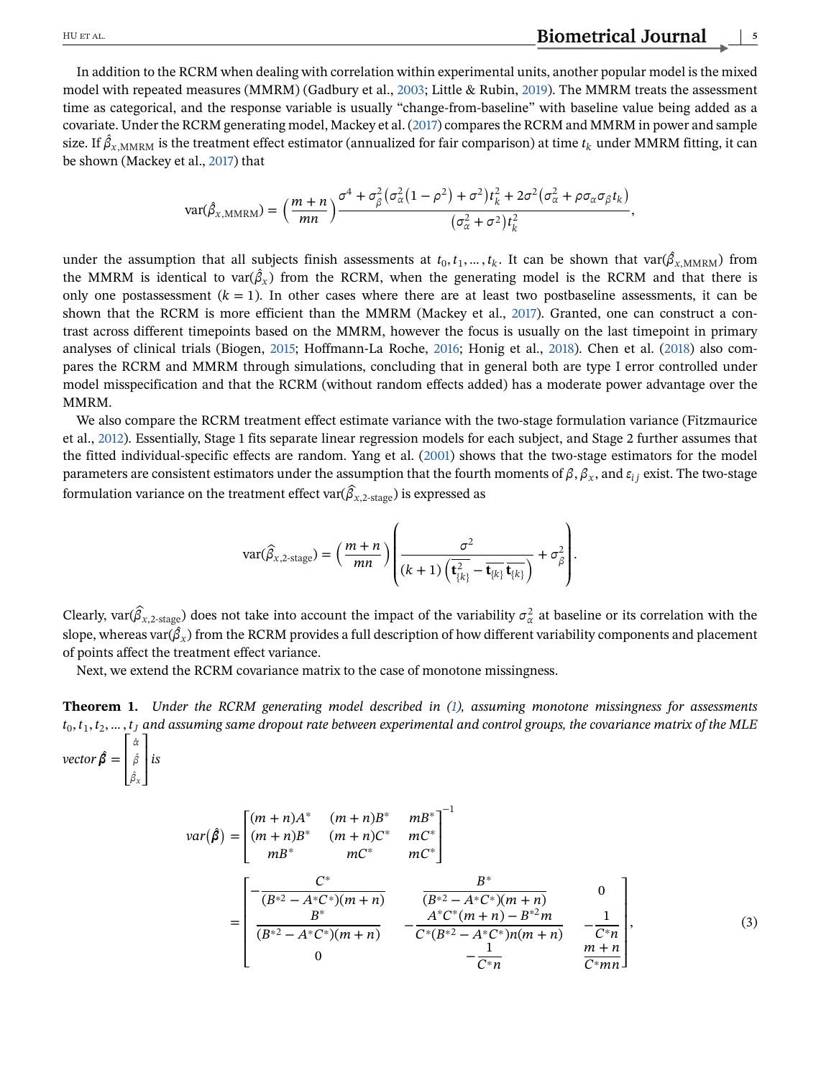# <span id="page-4-0"></span>HU ET AL. **Biometrical Journal**

In addition to the RCRM when dealing with correlation within experimental units, another popular model is the mixed model with repeated measures (MMRM) (Gadbury et al., [2003;](#page-13-0) Little & Rubin, [2019\)](#page-13-0). The MMRM treats the assessment time as categorical, and the response variable is usually "change-from-baseline" with baseline value being added as a covariate. Under the RCRM generating model, Mackey et al. [\(2017\)](#page-13-0) compares the RCRM and MMRM in power and sample size. If  $\hat\beta_{x,\text{MMRM}}$  is the treatment effect estimator (annualized for fair comparison) at time  $t_k$  under MMRM fitting, it can be shown (Mackey et al., [2017\)](#page-13-0) that

$$
\text{var}(\hat{\beta}_{x,\text{MMRM}}) = \left(\frac{m+n}{mn}\right) \frac{\sigma^4 + \sigma_\beta^2 (\sigma_\alpha^2 (1-\rho^2) + \sigma^2) t_k^2 + 2\sigma^2 (\sigma_\alpha^2 + \rho \sigma_\alpha \sigma_\beta t_k)}{(\sigma_\alpha^2 + \sigma^2) t_k^2},
$$

under the assumption that all subjects finish assessments at  $t_0, t_1, ..., t_k$ . It can be shown that var $(\hat{\beta}_{x,MMRM})$  from the MMRM is identical to var $(\hat{\beta}_x)$  from the RCRM, when the generating model is the RCRM and that there is only one postassessment  $(k = 1)$ . In other cases where there are at least two postbaseline assessments, it can be shown that the RCRM is more efficient than the MMRM (Mackey et al., [2017\)](#page-13-0). Granted, one can construct a contrast across different timepoints based on the MMRM, however the focus is usually on the last timepoint in primary analyses of clinical trials (Biogen, [2015;](#page-12-0) Hoffmann-La Roche, [2016;](#page-13-0) Honig et al., [2018\)](#page-13-0). Chen et al. [\(2018\)](#page-12-0) also compares the RCRM and MMRM through simulations, concluding that in general both are type I error controlled under model misspecification and that the RCRM (without random effects added) has a moderate power advantage over the MMRM.

We also compare the RCRM treatment effect estimate variance with the two-stage formulation variance (Fitzmaurice et al., [2012\)](#page-13-0). Essentially, Stage 1 fits separate linear regression models for each subject, and Stage 2 further assumes that the fitted individual-specific effects are random. Yang et al. [\(2001\)](#page-13-0) shows that the two-stage estimators for the model parameters are consistent estimators under the assumption that the fourth moments of  $\beta$ ,  $\beta_x$ , and  $\varepsilon_{ij}$  exist. The two-stage formulation variance on the treatment effect var $(\widehat{\beta}_{\text{x,2-stage}})$  is expressed as

$$
\text{var}(\widehat{\beta}_{x,2\text{-stage}}) = \left(\frac{m+n}{mn}\right) \left(\frac{\sigma^2}{(k+1)\left(\overline{\mathbf{t}_{\{k\}}^2} - \overline{\mathbf{t}_{\{k\}}}\overline{\mathbf{t}_{\{k\}}}\right)} + \sigma_{\beta}^2\right).
$$

Clearly, var $(\widehat{\beta}_{x,2\text{-stage}})$  does not take into account the impact of the variability  $\sigma_\alpha^2$  at baseline or its correlation with the slope, whereas var( $\hat\beta_x$ ) from the RCRM provides a full description of how different variability components and placement of points affect the treatment effect variance.

Next, we extend the RCRM covariance matrix to the case of monotone missingness.

**Theorem 1.** *Under the RCRM generating model described in [\(1\)](#page-1-0), assuming monotone missingness for assessments*  $t_0, t_1, t_2,..., t_J$  and assuming same dropout rate between experimental and control groups, the covariance matrix of the MLE ⎤

 $\text{vector } \hat{\beta} =$ ⎢ ⎣  $\hat{\alpha}$  $\hat{\beta}$  $\hat{\beta}_x$  $\overline{\phantom{a}}$  $\overline{\phantom{a}}$ *is*

$$
var(\hat{\beta}) = \begin{bmatrix} (m+n)A^* & (m+n)B^* & mB^* \\ (m+n)B^* & (m+n)C^* & mC^* \\ mB^* & mC^* & mC^* \end{bmatrix}^{-1}
$$
  
= 
$$
\begin{bmatrix} -\frac{C^*}{(B^{*2} - A^*C^*)(m+n)} & \frac{B^*}{(B^{*2} - A^*C^*)(m+n)} & 0 \\ \frac{B^*}{(B^{*2} - A^*C^*)(m+n)} & -\frac{A^*C^*(m+n) - B^{*2}m}{C^*(B^{*2} - A^*C^*)n(m+n)} & -\frac{1}{C^*n} \\ 0 & -\frac{1}{C^*n} & \frac{m+n}{C^*mn} \end{bmatrix},
$$
(3)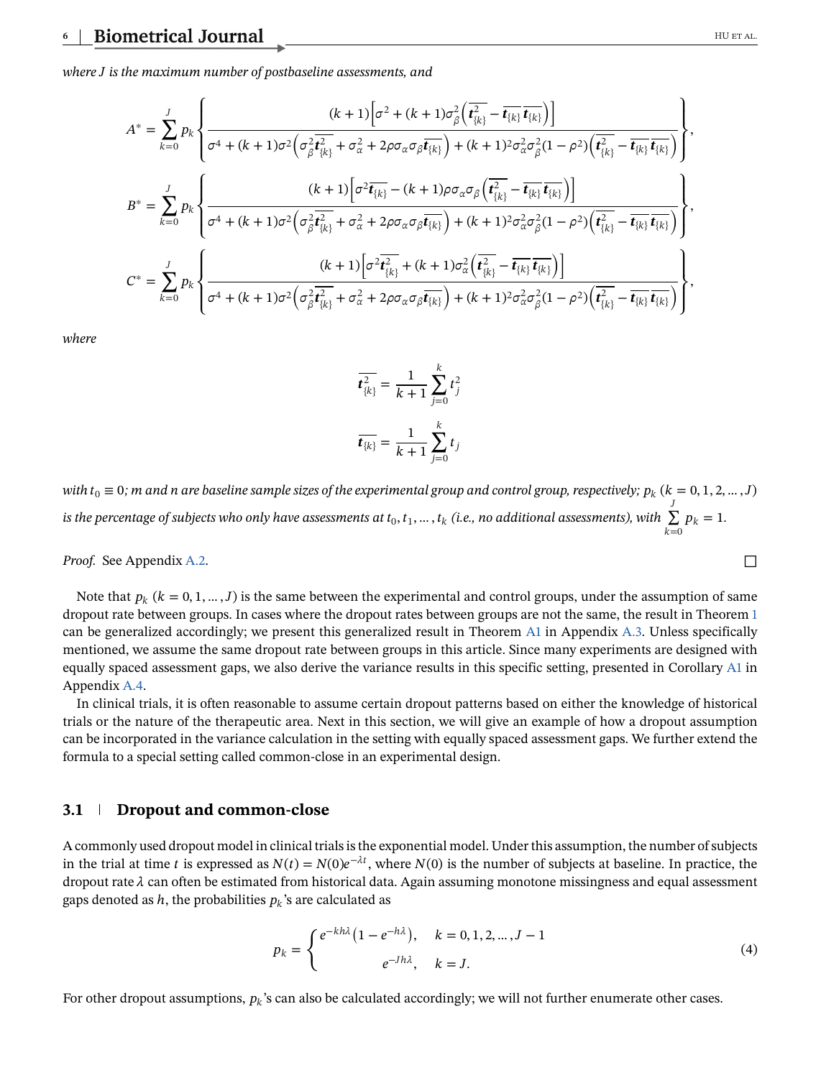<span id="page-5-0"></span>*where is the maximum number of postbaseline assessments, and*

$$
A^* = \sum_{k=0}^{J} p_k \left\{ \frac{(k+1)\left[\sigma^2 + (k+1)\sigma_{\beta}^2 \left(\overline{t_{\{k\}}^2} - \overline{t_{\{k\}}}\,\overline{t_{\{k\}}}\right)\right]}{\sigma^4 + (k+1)\sigma^2 \left(\sigma_{\beta}^2 \overline{t_{\{k\}}^2} + \sigma_{\alpha}^2 + 2\rho\sigma_{\alpha}\sigma_{\beta}\overline{t_{\{k\}}}\right) + (k+1)^2\sigma_{\alpha}^2\sigma_{\beta}^2(1-\rho^2)\left(\overline{t_{\{k\}}^2} - \overline{t_{\{k\}}}\,\overline{t_{\{k\}}}\right)}\right\}},
$$
  
\n
$$
B^* = \sum_{k=0}^{J} p_k \left\{ \frac{(k+1)\left[\sigma^2 \overline{t_{\{k\}}} - (k+1)\rho\sigma_{\alpha}\sigma_{\beta}\left(\overline{t_{\{k\}}^2} - \overline{t_{\{k\}}}\,\overline{t_{\{k\}}}\right)\right]\right\}}{\sigma^4 + (k+1)\sigma^2 \left(\sigma_{\beta}^2 \overline{t_{\{k\}}^2} + \sigma_{\alpha}^2 + 2\rho\sigma_{\alpha}\sigma_{\beta}\overline{t_{\{k\}}}\right) + (k+1)^2\sigma_{\alpha}^2\sigma_{\beta}^2(1-\rho^2)\left(\overline{t_{\{k\}}^2} - \overline{t_{\{k\}}}\,\overline{t_{\{k\}}}\right)}\right\}},
$$
  
\n
$$
C^* = \sum_{k=0}^{J} p_k \left\{ \frac{(k+1)\left[\sigma^2 \overline{t_{\{k\}}^2} + (k+1)\sigma_{\alpha}^2\left(\overline{t_{\{k\}}^2} - \overline{t_{\{k\}}}\,\overline{t_{\{k\}}}\right)\right]\right\}}{\sigma^4 + (k+1)\sigma^2 \left(\sigma_{\beta}^2 \overline{t_{\{k\}}^2} + \sigma_{\alpha}^2 + 2\rho\sigma_{\alpha}\sigma_{\beta}\overline{t_{\{k\}}}\right) + (k+1)^2\sigma_{\alpha}^2\sigma_{\beta}^2(1-\rho^2)\left(\overline{t_{\{k\}}^2} - \overline{t_{\
$$

*where*

$$
\overline{t_{\{k\}}^2} = \frac{1}{k+1} \sum_{j=0}^k t_j^2
$$

$$
\overline{t_{\{k\}}} = \frac{1}{k+1} \sum_{j=0}^k t_j
$$

*with*  $t_0 \equiv 0$ ; *m* and *n* are baseline sample sizes of the experimental group and control group, respectively;  $p_k$  ( $k = 0, 1, 2, ..., J$ )  $i$ s the percentage of subjects who only have assessments at  $t_0, t_1, ...$  ,  $t_k$  (i.e., no additional assessments), with  $\sum\limits_{}^{J}$  $\sum_{k=0} p_k = 1.$ 

*Proof.* See Appendix [A.2.](#page-16-0)

Note that  $p_k$  ( $k = 0, 1, ..., J$ ) is the same between the experimental and control groups, under the assumption of same dropout rate between groups. In cases where the dropout rates between groups are not the same, the result in Theorem [1](#page-4-0) can be generalized accordingly; we present this generalized result in Theorem [A1](#page-17-0) in Appendix [A.3.](#page-17-0) Unless specifically mentioned, we assume the same dropout rate between groups in this article. Since many experiments are designed with equally spaced assessment gaps, we also derive the variance results in this specific setting, presented in Corollary [A1](#page-18-0) in Appendix [A.4.](#page-18-0)

In clinical trials, it is often reasonable to assume certain dropout patterns based on either the knowledge of historical trials or the nature of the therapeutic area. Next in this section, we will give an example of how a dropout assumption can be incorporated in the variance calculation in the setting with equally spaced assessment gaps. We further extend the formula to a special setting called common-close in an experimental design.

#### **3.1 Dropout and common-close**

A commonly used dropout model in clinical trials is the exponential model. Under this assumption, the number of subjects in the trial at time t is expressed as  $N(t) = N(0)e^{-\lambda t}$ , where  $N(0)$  is the number of subjects at baseline. In practice, the dropout rate  $\lambda$  can often be estimated from historical data. Again assuming monotone missingness and equal assessment gaps denoted as  $h$ , the probabilities  $p_k$ 's are calculated as

$$
p_k = \begin{cases} e^{-kh\lambda} (1 - e^{-h\lambda}), & k = 0, 1, 2, ..., J - 1 \\ e^{-Jh\lambda}, & k = J. \end{cases}
$$
 (4)

For other dropout assumptions,  $p_k$ 's can also be calculated accordingly; we will not further enumerate other cases.

$$
\Box
$$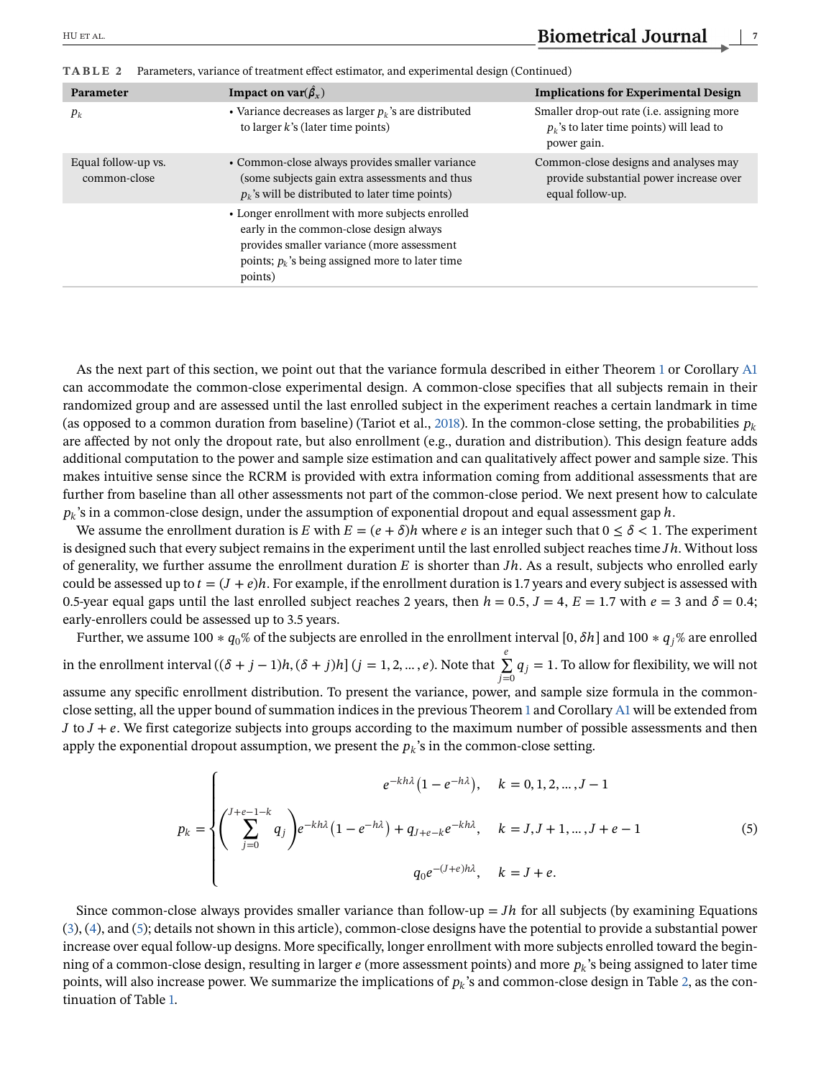| <b>Parameter</b>                    | Impact on var $(\hat{\beta}_x)$                                                                                                                                                                           | <b>Implications for Experimental Design</b>                                                                      |
|-------------------------------------|-----------------------------------------------------------------------------------------------------------------------------------------------------------------------------------------------------------|------------------------------------------------------------------------------------------------------------------|
| $p_k$                               | • Variance decreases as larger $p_k$ 's are distributed<br>to larger $k$ 's (later time points)                                                                                                           | Smaller drop-out rate ( <i>i.e.</i> assigning more<br>$p_k$ 's to later time points) will lead to<br>power gain. |
| Equal follow-up vs.<br>common-close | • Common-close always provides smaller variance<br>(some subjects gain extra assessments and thus<br>$p_k$ 's will be distributed to later time points)                                                   | Common-close designs and analyses may<br>provide substantial power increase over<br>equal follow-up.             |
|                                     | • Longer enrollment with more subjects enrolled<br>early in the common-close design always<br>provides smaller variance (more assessment<br>points; $p_k$ 's being assigned more to later time<br>points) |                                                                                                                  |

**TABLE 2** Parameters, variance of treatment effect estimator, and experimental design (Continued)

As the next part of this section, we point out that the variance formula described in either Theorem [1](#page-4-0) or Corollary [A1](#page-18-0) can accommodate the common-close experimental design. A common-close specifies that all subjects remain in their randomized group and are assessed until the last enrolled subject in the experiment reaches a certain landmark in time (as opposed to a common duration from baseline) (Tariot et al., [2018\)](#page-13-0). In the common-close setting, the probabilities  $p_k$ are affected by not only the dropout rate, but also enrollment (e.g., duration and distribution). This design feature adds additional computation to the power and sample size estimation and can qualitatively affect power and sample size. This makes intuitive sense since the RCRM is provided with extra information coming from additional assessments that are further from baseline than all other assessments not part of the common-close period. We next present how to calculate  $p_k$ 's in a common-close design, under the assumption of exponential dropout and equal assessment gap h.

We assume the enrollment duration is E with  $E = (e + \delta)h$  where e is an integer such that  $0 \le \delta < 1$ . The experiment is designed such that every subject remains in the experiment until the last enrolled subject reaches time  $Jh$ . Without loss of generality, we further assume the enrollment duration  $E$  is shorter than  $Jh$ . As a result, subjects who enrolled early could be assessed up to  $t = (J + e)h$ . For example, if the enrollment duration is 1.7 years and every subject is assessed with 0.5-year equal gaps until the last enrolled subject reaches 2 years, then  $h = 0.5$ ,  $J = 4$ ,  $E = 1.7$  with  $e = 3$  and  $\delta = 0.4$ ; early-enrollers could be assessed up to 3.5 years.

Further, we assume 100  $* q_0\%$  of the subjects are enrolled in the enrollment interval [0,  $\delta h$ ] and 100  $* q_i\%$  are enrolled in the enrollment interval  $((\delta + j - 1)h, (\delta + j)h]$   $(j = 1, 2, ..., e)$ . Note that  $\sum_{i=1}^{e}$  $\sum\limits_{j=0} q_j = 1.$  To allow for flexibility, we will not assume any specific enrollment distribution. To present the variance, power, and sample size formula in the commonclose setting, all the upper bound of summation indices in the previous Theorem [1](#page-4-0) and Corollary [A1](#page-18-0) will be extended from  $J$  to  $J + e$ . We first categorize subjects into groups according to the maximum number of possible assessments and then apply the exponential dropout assumption, we present the  $p_k$ 's in the common-close setting.

$$
p_{k} = \begin{cases} e^{-kh\lambda} (1 - e^{-h\lambda}), & k = 0, 1, 2, ..., J - 1 \\ \left(\sum_{j=0}^{J+e-1-k} q_{j}\right) e^{-kh\lambda} (1 - e^{-h\lambda}) + q_{J+e-k} e^{-kh\lambda}, & k = J, J+1, ..., J+e-1 \\ q_{0} e^{-(J+e)h\lambda}, & k = J+e. \end{cases}
$$
(5)

Since common-close always provides smaller variance than follow-up  $= Jh$  for all subjects (by examining Equations [\(3\)](#page-4-0), [\(4\)](#page-5-0), and (5); details not shown in this article), common-close designs have the potential to provide a substantial power increase over equal follow-up designs. More specifically, longer enrollment with more subjects enrolled toward the beginning of a common-close design, resulting in larger  $e$  (more assessment points) and more  $p_k$ 's being assigned to later time points, will also increase power. We summarize the implications of  $p_k$ 's and common-close design in Table 2, as the continuation of Table [1.](#page-3-0)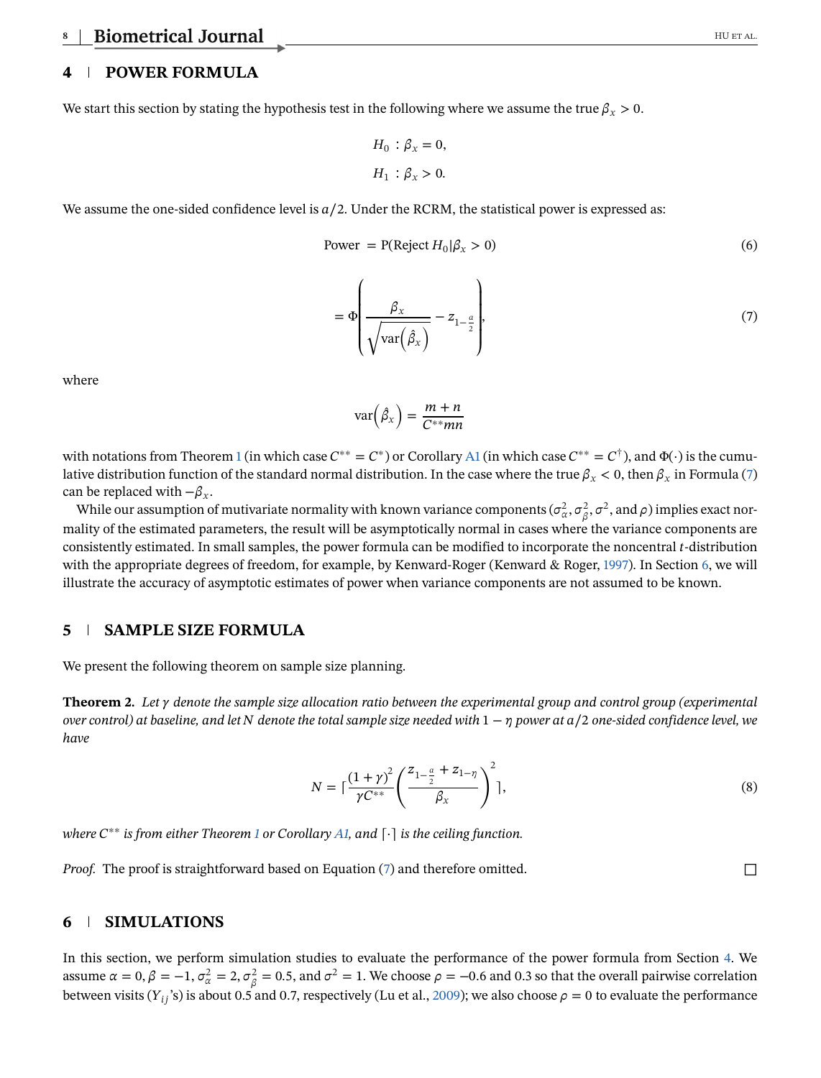# <span id="page-7-0"></span>**4 POWER FORMULA**

We start this section by stating the hypothesis test in the following where we assume the true  $\beta_x > 0$ .

$$
H_0: \beta_x = 0,
$$
  

$$
H_1: \beta_x > 0.
$$

We assume the one-sided confidence level is  $a/2$ . Under the RCRM, the statistical power is expressed as:

$$
Power = P(Reject H_0 | \beta_x > 0)
$$
\n(6)

$$
= \Phi \left( \frac{\beta_x}{\sqrt{\text{var}\left(\hat{\beta}_x\right)}} - z_{1-\frac{a}{2}}, \right), \tag{7}
$$

where

$$
\text{var}\left(\hat{\beta}_x\right) = \frac{m+n}{C^{**}mn}
$$

with notations from Theorem [1](#page-4-0) (in which case  $C^{**} = C^*$ ) or Corollary [A1](#page-18-0) (in which case  $C^{**} = C^{\dagger}$ ), and  $\Phi(\cdot)$  is the cumulative distribution function of the standard normal distribution. In the case where the true  $\beta_x < 0$ , then  $\beta_x$  in Formula (7) can be replaced with  $-\beta_x$ .

While our assumption of mutivariate normality with known variance components ( $\sigma^2_\alpha$ ,  $\sigma^2_\beta$ ,  $\sigma^2$ , and  $\rho$ ) implies exact normality of the estimated parameters, the result will be asymptotically normal in cases where the variance components are consistently estimated. In small samples, the power formula can be modified to incorporate the noncentral *t*-distribution with the appropriate degrees of freedom, for example, by Kenward-Roger (Kenward & Roger, [1997\)](#page-13-0). In Section 6, we will illustrate the accuracy of asymptotic estimates of power when variance components are not assumed to be known.

# **5 SAMPLE SIZE FORMULA**

We present the following theorem on sample size planning.

**Theorem 2.** *Let denote the sample size allocation ratio between the experimental group and control group (experimental over control) at baseline, and let denote the total sample size needed with* 1− *power at* ∕2 *one-sided confidence level, we have*

$$
N = \left[\frac{(1+\gamma)^2}{\gamma C^{**}} \left(\frac{z_{1-\frac{a}{2}} + z_{1-\eta}}{\beta_x}\right)^2\right],
$$
\n(8)

*where*  $C^{**}$  *is from either Theorem [1](#page-4-0) or Corollary [A1,](#page-18-0) and* [⋅] *is the ceiling function.* 

*Proof.* The proof is straightforward based on Equation (7) and therefore omitted. □

# **6 SIMULATIONS**

In this section, we perform simulation studies to evaluate the performance of the power formula from Section 4. We assume  $\alpha =0, \beta = -1, \sigma_{\alpha}^2 = 2, \sigma_{\beta}^2 = 0.5,$  and  $\sigma^2 = 1$ . We choose  $\rho = -0.6$  and 0.3 so that the overall pairwise correlation between visits ( $Y_{ij}$ 's) is about 0.5 and 0.7, respectively (Lu et al., [2009\)](#page-13-0); we also choose  $\rho = 0$  to evaluate the performance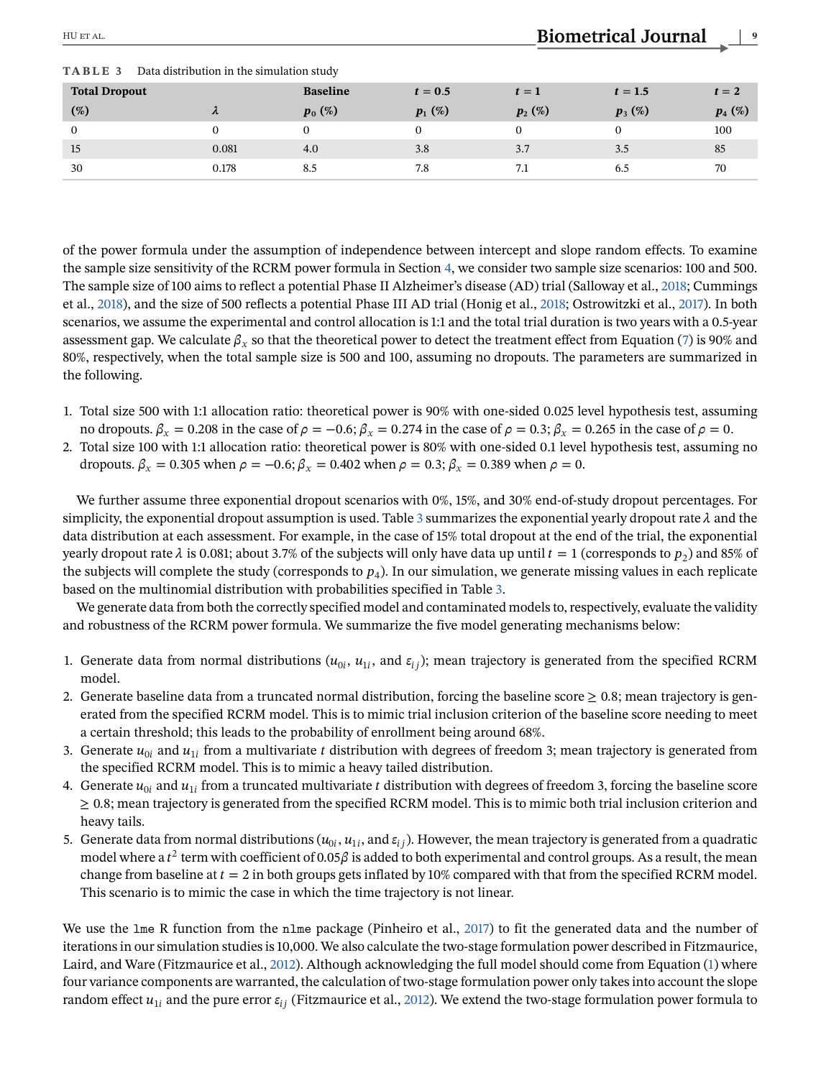| <b>Total Dropout</b> |           | <b>Baseline</b> | $t = 0.5$ | $t=1$     | $t = 1.5$ | $t=2$       |
|----------------------|-----------|-----------------|-----------|-----------|-----------|-------------|
| (%)                  | $\lambda$ | $p_0(\%)$       | $p_1(\%)$ | $p_2(\%)$ | $p_3(\%)$ | $p_{4}(\%)$ |
|                      |           | 0               |           |           |           | 100         |
| 15                   | 0.081     | 4.0             | 3.8       | 3.7       | 3.5       | 85          |
| 30                   | 0.178     | 8.5             | 7.8       | 7.1       | 6.5       | 70          |

**TABLE 3** Data distribution in the simulation study

of the power formula under the assumption of independence between intercept and slope random effects. To examine the sample size sensitivity of the RCRM power formula in Section [4,](#page-7-0) we consider two sample size scenarios: 100 and 500. The sample size of 100 aims to reflect a potential Phase II Alzheimer's disease (AD) trial (Salloway et al., [2018;](#page-13-0) Cummings et al., [2018\)](#page-12-0), and the size of 500 reflects a potential Phase III AD trial (Honig et al., [2018;](#page-13-0) Ostrowitzki et al., [2017\)](#page-13-0). In both scenarios, we assume the experimental and control allocation is 1:1 and the total trial duration is two years with a 0.5-year assessment gap. We calculate  $\beta_r$  so that the theoretical power to detect the treatment effect from Equation [\(7\)](#page-7-0) is 90% and 80%, respectively, when the total sample size is 500 and 100, assuming no dropouts. The parameters are summarized in the following.

- 1. Total size 500 with 1:1 allocation ratio: theoretical power is 90% with one-sided 0.025 level hypothesis test, assuming no dropouts.  $\beta_x = 0.208$  in the case of  $\rho = -0.6$ ;  $\beta_x = 0.274$  in the case of  $\rho = 0.3$ ;  $\beta_x = 0.265$  in the case of  $\rho = 0$ .
- 2. Total size 100 with 1:1 allocation ratio: theoretical power is 80% with one-sided 0.1 level hypothesis test, assuming no dropouts.  $\beta_x = 0.305$  when  $\rho = -0.6$ ;  $\beta_x = 0.402$  when  $\rho = 0.3$ ;  $\beta_x = 0.389$  when  $\rho = 0$ .

We further assume three exponential dropout scenarios with 0%, 15%, and 30% end-of-study dropout percentages. For simplicity, the exponential dropout assumption is used. Table 3 summarizes the exponential yearly dropout rate  $\lambda$  and the data distribution at each assessment. For example, in the case of 15% total dropout at the end of the trial, the exponential yearly dropout rate  $\lambda$  is 0.081; about 3.7% of the subjects will only have data up until  $t = 1$  (corresponds to  $p_2$ ) and 85% of the subjects will complete the study (corresponds to  $p_4$ ). In our simulation, we generate missing values in each replicate based on the multinomial distribution with probabilities specified in Table 3.

We generate data from both the correctly specified model and contaminated models to, respectively, evaluate the validity and robustness of the RCRM power formula. We summarize the five model generating mechanisms below:

- 1. Generate data from normal distributions  $(u_{0i}, u_{1i},$  and  $\varepsilon_{ij}$ ; mean trajectory is generated from the specified RCRM model.
- 2. Generate baseline data from a truncated normal distribution, forcing the baseline score  $\geq 0.8$ ; mean trajectory is generated from the specified RCRM model. This is to mimic trial inclusion criterion of the baseline score needing to meet a certain threshold; this leads to the probability of enrollment being around 68%.
- 3. Generate  $u_{0i}$  and  $u_{1i}$  from a multivariate t distribution with degrees of freedom 3; mean trajectory is generated from the specified RCRM model. This is to mimic a heavy tailed distribution.
- 4. Generate  $u_{0i}$  and  $u_{1i}$  from a truncated multivariate t distribution with degrees of freedom 3, forcing the baseline score  $\geq$  0.8; mean trajectory is generated from the specified RCRM model. This is to mimic both trial inclusion criterion and heavy tails.
- 5. Generate data from normal distributions ( $u_{0i}$ ,  $u_{1i}$ , and  $\varepsilon_{ii}$ ). However, the mean trajectory is generated from a quadratic model where a  $t^2$  term with coefficient of 0.05 $\beta$  is added to both experimental and control groups. As a result, the mean change from baseline at  $t = 2$  in both groups gets inflated by 10% compared with that from the specified RCRM model. This scenario is to mimic the case in which the time trajectory is not linear.

We use the lme R function from the nlme package (Pinheiro et al., [2017\)](#page-13-0) to fit the generated data and the number of iterations in our simulation studies is 10,000. We also calculate the two-stage formulation power described in Fitzmaurice, Laird, and Ware (Fitzmaurice et al., [2012\)](#page-13-0). Although acknowledging the full model should come from Equation [\(1\)](#page-1-0) where four variance components are warranted, the calculation of two-stage formulation power only takes into account the slope random effect  $u_{1i}$  and the pure error  $\varepsilon_{ij}$  (Fitzmaurice et al., [2012\)](#page-13-0). We extend the two-stage formulation power formula to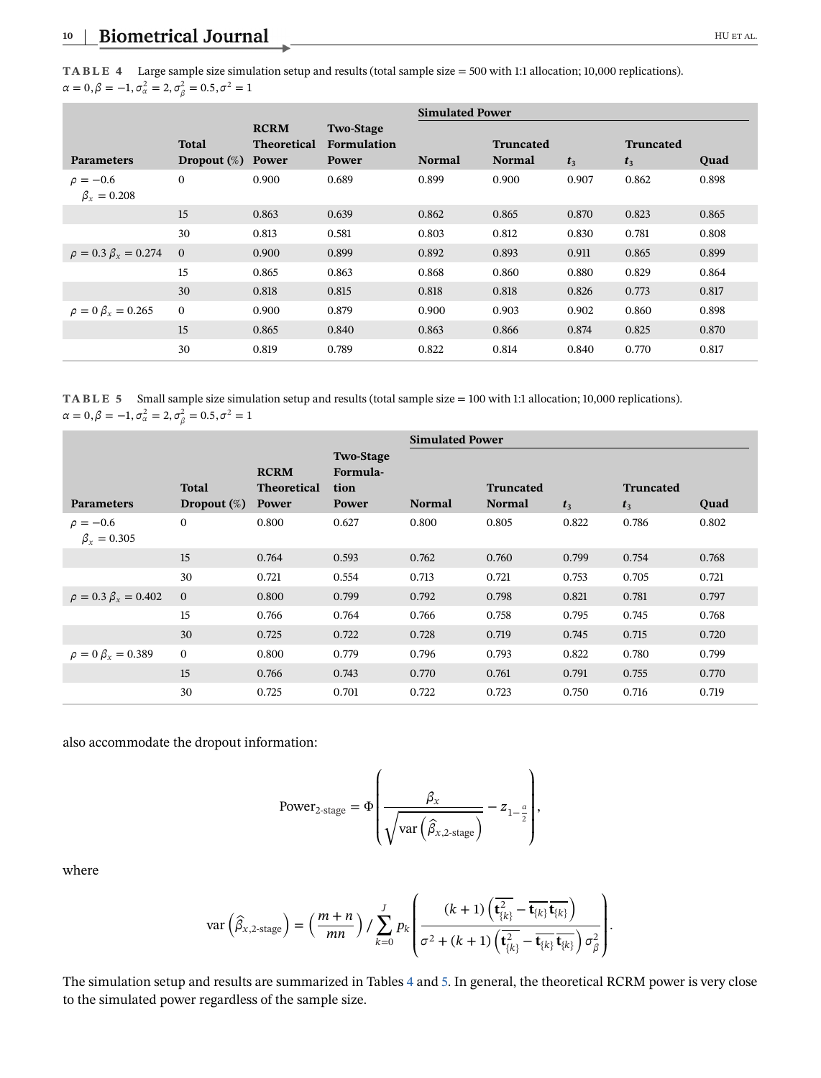<span id="page-9-0"></span>**TABLE 4** Large sample size simulation setup and results (total sample size = 500 with 1:1 allocation; 10,000 replications).  $\alpha=0, \beta=-1, \sigma_{\alpha}^2=2, \sigma_{\beta}^2=0.5, \sigma^2=1$ 

|                                    |                                |                                            |                                                 | <b>Simulated Power</b> |                                   |                |                             |       |
|------------------------------------|--------------------------------|--------------------------------------------|-------------------------------------------------|------------------------|-----------------------------------|----------------|-----------------------------|-------|
| <b>Parameters</b>                  | <b>Total</b><br>Dropout $(\%)$ | <b>RCRM</b><br><b>Theoretical</b><br>Power | <b>Two-Stage</b><br><b>Formulation</b><br>Power | <b>Normal</b>          | <b>Truncated</b><br><b>Normal</b> | t <sub>3</sub> | <b>Truncated</b><br>$t_{3}$ | Ouad  |
| $\rho = -0.6$<br>$\beta_r = 0.208$ | $\mathbf{0}$                   | 0.900                                      | 0.689                                           | 0.899                  | 0.900                             | 0.907          | 0.862                       | 0.898 |
|                                    | 15                             | 0.863                                      | 0.639                                           | 0.862                  | 0.865                             | 0.870          | 0.823                       | 0.865 |
|                                    | 30                             | 0.813                                      | 0.581                                           | 0.803                  | 0.812                             | 0.830          | 0.781                       | 0.808 |
| $\rho = 0.3 \beta_{r} = 0.274$     | $\overline{0}$                 | 0.900                                      | 0.899                                           | 0.892                  | 0.893                             | 0.911          | 0.865                       | 0.899 |
|                                    | 15                             | 0.865                                      | 0.863                                           | 0.868                  | 0.860                             | 0.880          | 0.829                       | 0.864 |
|                                    | 30                             | 0.818                                      | 0.815                                           | 0.818                  | 0.818                             | 0.826          | 0.773                       | 0.817 |
| $\rho = 0 \beta_{r} = 0.265$       | $\mathbf{0}$                   | 0.900                                      | 0.879                                           | 0.900                  | 0.903                             | 0.902          | 0.860                       | 0.898 |
|                                    | 15                             | 0.865                                      | 0.840                                           | 0.863                  | 0.866                             | 0.874          | 0.825                       | 0.870 |
|                                    | 30                             | 0.819                                      | 0.789                                           | 0.822                  | 0.814                             | 0.840          | 0.770                       | 0.817 |

**TABLE 5** Small sample size simulation setup and results (total sample size = 100 with 1:1 allocation; 10,000 replications).  $\alpha = 0, \beta = -1, \sigma_{\alpha}^{2} = 2, \sigma_{\beta}^{2} = 0.5, \sigma^{2} = 1$ 

|                                      |                                |                                            |                                               | <b>Simulated Power</b> |                                   |       |                           |       |
|--------------------------------------|--------------------------------|--------------------------------------------|-----------------------------------------------|------------------------|-----------------------------------|-------|---------------------------|-------|
| <b>Parameters</b>                    | <b>Total</b><br>Dropout $(\%)$ | <b>RCRM</b><br><b>Theoretical</b><br>Power | <b>Two-Stage</b><br>Formula-<br>tion<br>Power | <b>Normal</b>          | <b>Truncated</b><br><b>Normal</b> | $t_3$ | <b>Truncated</b><br>$t_3$ | Quad  |
| $\rho = -0.6$<br>$\beta_{r} = 0.305$ | $\mathbf{0}$                   | 0.800                                      | 0.627                                         | 0.800                  | 0.805                             | 0.822 | 0.786                     | 0.802 |
|                                      | 15                             | 0.764                                      | 0.593                                         | 0.762                  | 0.760                             | 0.799 | 0.754                     | 0.768 |
|                                      | 30                             | 0.721                                      | 0.554                                         | 0.713                  | 0.721                             | 0.753 | 0.705                     | 0.721 |
| $\rho = 0.3 \beta_x = 0.402$         | $\mathbf{0}$                   | 0.800                                      | 0.799                                         | 0.792                  | 0.798                             | 0.821 | 0.781                     | 0.797 |
|                                      | 15                             | 0.766                                      | 0.764                                         | 0.766                  | 0.758                             | 0.795 | 0.745                     | 0.768 |
|                                      | 30                             | 0.725                                      | 0.722                                         | 0.728                  | 0.719                             | 0.745 | 0.715                     | 0.720 |
| $\rho = 0 \beta_{r} = 0.389$         | $\mathbf{0}$                   | 0.800                                      | 0.779                                         | 0.796                  | 0.793                             | 0.822 | 0.780                     | 0.799 |
|                                      | 15                             | 0.766                                      | 0.743                                         | 0.770                  | 0.761                             | 0.791 | 0.755                     | 0.770 |
|                                      | 30                             | 0.725                                      | 0.701                                         | 0.722                  | 0.723                             | 0.750 | 0.716                     | 0.719 |

also accommodate the dropout information:

Power<sub>2-stage</sub> = 
$$
\Phi \left( \frac{\beta_x}{\sqrt{\text{var}(\hat{\beta}_{x,2-stage})}} - z_{1-\frac{a}{2}} \right),
$$

where

$$
\text{var}\left(\widehat{\beta}_{x,2\text{-stage}}\right) = \left(\frac{m+n}{mn}\right) / \sum_{k=0}^{J} p_k \left(\frac{(k+1)\left(\overline{\mathbf{t}_{\{k\}}^2} - \overline{\mathbf{t}_{\{k\}}}\overline{\mathbf{t}_{\{k\}}}\right)}{\sigma^2 + (k+1)\left(\overline{\mathbf{t}_{\{k\}}^2} - \overline{\mathbf{t}_{\{k\}}}\overline{\mathbf{t}_{\{k\}}}\right)\sigma_{\beta}^2}\right).
$$

The simulation setup and results are summarized in Tables 4 and 5. In general, the theoretical RCRM power is very close to the simulated power regardless of the sample size.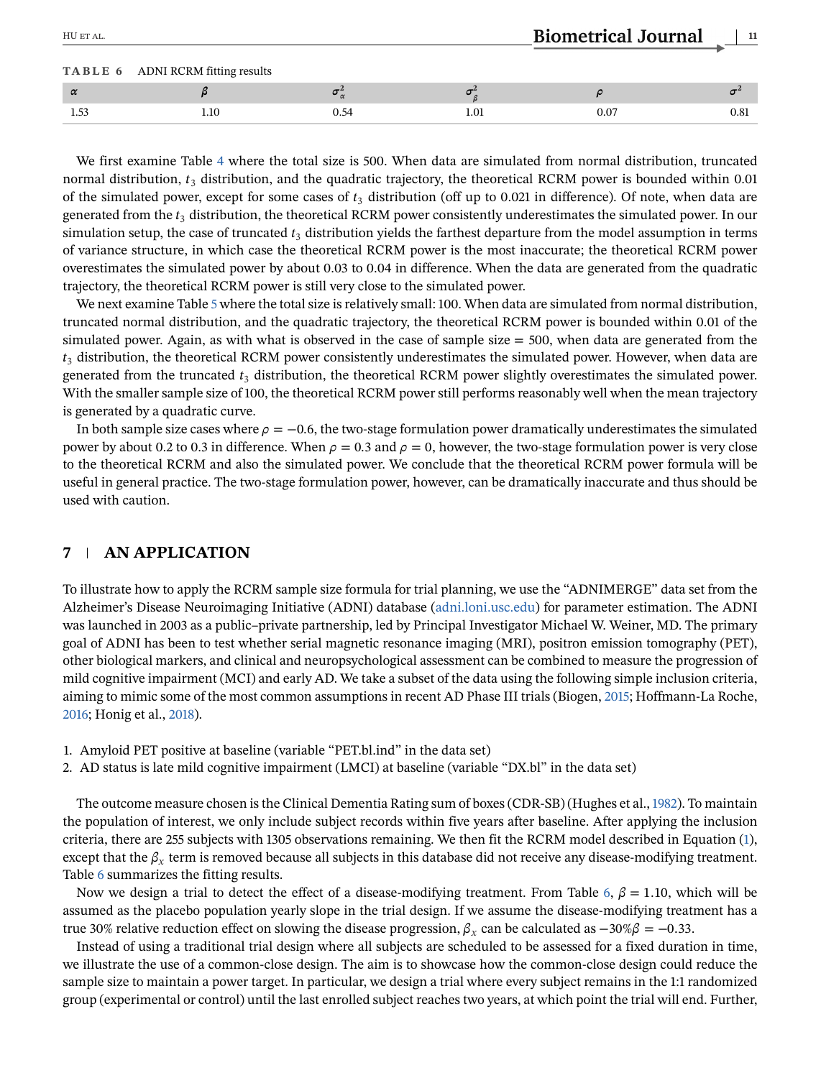<span id="page-10-0"></span>

| HU ET AL. |                                          |      |      | <b>Biometrical Journal</b> | - 11 |
|-----------|------------------------------------------|------|------|----------------------------|------|
|           | <b>TABLE 6</b> ADNI RCRM fitting results |      |      |                            |      |
| $\alpha$  |                                          |      |      |                            |      |
| 1.53      | 1.10                                     | 0.54 | 1.01 | 0.07                       | 0.81 |

We first examine Table [4](#page-9-0) where the total size is 500. When data are simulated from normal distribution, truncated normal distribution,  $t_3$  distribution, and the quadratic trajectory, the theoretical RCRM power is bounded within 0.01 of the simulated power, except for some cases of  $t_3$  distribution (off up to 0.021 in difference). Of note, when data are generated from the  $t_3$  distribution, the theoretical RCRM power consistently underestimates the simulated power. In our simulation setup, the case of truncated  $t_3$  distribution yields the farthest departure from the model assumption in terms of variance structure, in which case the theoretical RCRM power is the most inaccurate; the theoretical RCRM power overestimates the simulated power by about 0.03 to 0.04 in difference. When the data are generated from the quadratic trajectory, the theoretical RCRM power is still very close to the simulated power.

We next examine Table [5](#page-9-0) where the total size is relatively small: 100. When data are simulated from normal distribution, truncated normal distribution, and the quadratic trajectory, the theoretical RCRM power is bounded within 0.01 of the simulated power. Again, as with what is observed in the case of sample size  $= 500$ , when data are generated from the  $t_3$  distribution, the theoretical RCRM power consistently underestimates the simulated power. However, when data are generated from the truncated  $t_3$  distribution, the theoretical RCRM power slightly overestimates the simulated power. With the smaller sample size of 100, the theoretical RCRM power still performs reasonably well when the mean trajectory is generated by a quadratic curve.

In both sample size cases where  $\rho = -0.6$ , the two-stage formulation power dramatically underestimates the simulated power by about 0.2 to 0.3 in difference. When  $\rho = 0.3$  and  $\rho = 0$ , however, the two-stage formulation power is very close to the theoretical RCRM and also the simulated power. We conclude that the theoretical RCRM power formula will be useful in general practice. The two-stage formulation power, however, can be dramatically inaccurate and thus should be used with caution.

# **7 AN APPLICATION**

To illustrate how to apply the RCRM sample size formula for trial planning, we use the "ADNIMERGE" data set from the Alzheimer's Disease Neuroimaging Initiative (ADNI) database [\(adni.loni.usc.edu\)](http://adni.loni.usc.edu) for parameter estimation. The ADNI was launched in 2003 as a public–private partnership, led by Principal Investigator Michael W. Weiner, MD. The primary goal of ADNI has been to test whether serial magnetic resonance imaging (MRI), positron emission tomography (PET), other biological markers, and clinical and neuropsychological assessment can be combined to measure the progression of mild cognitive impairment (MCI) and early AD. We take a subset of the data using the following simple inclusion criteria, aiming to mimic some of the most common assumptions in recent AD Phase III trials (Biogen, [2015;](#page-12-0) Hoffmann-La Roche, [2016;](#page-13-0) Honig et al., [2018\)](#page-13-0).

- 1. Amyloid PET positive at baseline (variable "PET.bl.ind" in the data set)
- 2. AD status is late mild cognitive impairment (LMCI) at baseline (variable "DX.bl" in the data set)

The outcome measure chosen is the Clinical Dementia Rating sum of boxes (CDR-SB) (Hughes et al.,[1982\)](#page-13-0). To maintain the population of interest, we only include subject records within five years after baseline. After applying the inclusion criteria, there are 255 subjects with 1305 observations remaining. We then fit the RCRM model described in Equation [\(1\)](#page-1-0), except that the  $\beta_x$  term is removed because all subjects in this database did not receive any disease-modifying treatment. Table 6 summarizes the fitting results.

Now we design a trial to detect the effect of a disease-modifying treatment. From Table 6,  $\beta = 1.10$ , which will be assumed as the placebo population yearly slope in the trial design. If we assume the disease-modifying treatment has a true 30% relative reduction effect on slowing the disease progression,  $\beta_x$  can be calculated as  $-30\% \beta = -0.33$ .

Instead of using a traditional trial design where all subjects are scheduled to be assessed for a fixed duration in time, we illustrate the use of a common-close design. The aim is to showcase how the common-close design could reduce the sample size to maintain a power target. In particular, we design a trial where every subject remains in the 1:1 randomized group (experimental or control) until the last enrolled subject reaches two years, at which point the trial will end. Further,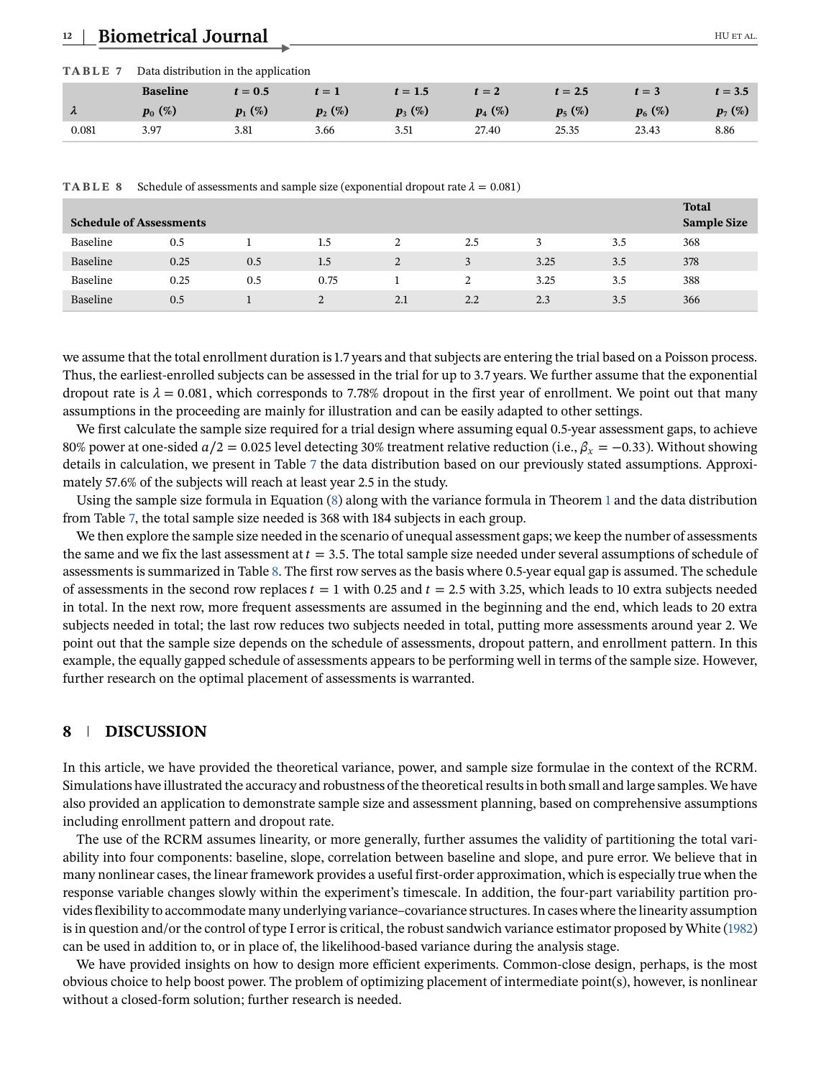<span id="page-11-0"></span>

| 12                                              | <b>Biometrical Journal</b> |           |           |             |             |             |             |               |  |  |
|-------------------------------------------------|----------------------------|-----------|-----------|-------------|-------------|-------------|-------------|---------------|--|--|
| Data distribution in the application<br>TABLE 7 |                            |           |           |             |             |             |             |               |  |  |
|                                                 | <b>Baseline</b>            | $t = 0.5$ | $t=1$     | $t = 1.5$   | $t=2$       | $t = 2.5$   | $t=3$       | $t = 3.5$     |  |  |
| $\lambda$                                       | $p_0(\%)$                  | $p_1(\%)$ | $p_2(\%)$ | $p_{3}(\%)$ | $p_{4}(\%)$ | $p_{5}$ (%) | $p_{6}(\%)$ | $\bm{p}_7(%)$ |  |  |
| 0.081                                           | 3.97                       | 3.81      | 3.66      | 3.51        | 27.40       | 25.35       | 23.43       | 8.86          |  |  |

**TABLE 8** Schedule of assessments and sample size (exponential dropout rate  $\lambda = 0.081$ )

| <b>Schedule of Assessments</b> |      |     |      |     |                    |      |     | <b>Total</b><br><b>Sample Size</b> |
|--------------------------------|------|-----|------|-----|--------------------|------|-----|------------------------------------|
| Baseline                       | 0.5  |     | 1.5  |     | 2.5                |      | 3.5 | 368                                |
| Baseline                       | 0.25 | 0.5 | 1.5  |     | 3                  | 3.25 | 3.5 | 378                                |
| Baseline                       | 0.25 | 0.5 | 0.75 |     | $\mathcal{D}$<br>∠ | 3.25 | 3.5 | 388                                |
| Baseline                       | 0.5  |     |      | 2.1 | 2.2                | 2.3  | 3.5 | 366                                |

we assume that the total enrollment duration is 1.7 years and that subjects are entering the trial based on a Poisson process. Thus, the earliest-enrolled subjects can be assessed in the trial for up to 3.7 years. We further assume that the exponential dropout rate is  $\lambda = 0.081$ , which corresponds to 7.78% dropout in the first year of enrollment. We point out that many assumptions in the proceeding are mainly for illustration and can be easily adapted to other settings.

We first calculate the sample size required for a trial design where assuming equal 0.5-year assessment gaps, to achieve 80% power at one-sided  $a/2 = 0.025$  level detecting 30% treatment relative reduction (i.e.,  $\beta_x = -0.33$ ). Without showing details in calculation, we present in Table 7 the data distribution based on our previously stated assumptions. Approximately 57.6% of the subjects will reach at least year 2.5 in the study.

Using the sample size formula in Equation [\(8\)](#page-7-0) along with the variance formula in Theorem [1](#page-4-0) and the data distribution from Table 7, the total sample size needed is 368 with 184 subjects in each group.

We then explore the sample size needed in the scenario of unequal assessment gaps; we keep the number of assessments the same and we fix the last assessment at  $t = 3.5$ . The total sample size needed under several assumptions of schedule of assessments is summarized in Table 8. The first row serves as the basis where 0.5-year equal gap is assumed. The schedule of assessments in the second row replaces  $t = 1$  with 0.25 and  $t = 2.5$  with 3.25, which leads to 10 extra subjects needed in total. In the next row, more frequent assessments are assumed in the beginning and the end, which leads to 20 extra subjects needed in total; the last row reduces two subjects needed in total, putting more assessments around year 2. We point out that the sample size depends on the schedule of assessments, dropout pattern, and enrollment pattern. In this example, the equally gapped schedule of assessments appears to be performing well in terms of the sample size. However, further research on the optimal placement of assessments is warranted.

# **8 DISCUSSION**

In this article, we have provided the theoretical variance, power, and sample size formulae in the context of the RCRM. Simulations have illustrated the accuracy and robustness of the theoretical results in both small and large samples. We have also provided an application to demonstrate sample size and assessment planning, based on comprehensive assumptions including enrollment pattern and dropout rate.

The use of the RCRM assumes linearity, or more generally, further assumes the validity of partitioning the total variability into four components: baseline, slope, correlation between baseline and slope, and pure error. We believe that in many nonlinear cases, the linear framework provides a useful first-order approximation, which is especially true when the response variable changes slowly within the experiment's timescale. In addition, the four-part variability partition provides flexibility to accommodate many underlying variance–covariance structures. In cases where the linearity assumption is in question and/or the control of type I error is critical, the robust sandwich variance estimator proposed by White [\(1982\)](#page-13-0) can be used in addition to, or in place of, the likelihood-based variance during the analysis stage.

We have provided insights on how to design more efficient experiments. Common-close design, perhaps, is the most obvious choice to help boost power. The problem of optimizing placement of intermediate point(s), however, is nonlinear without a closed-form solution; further research is needed.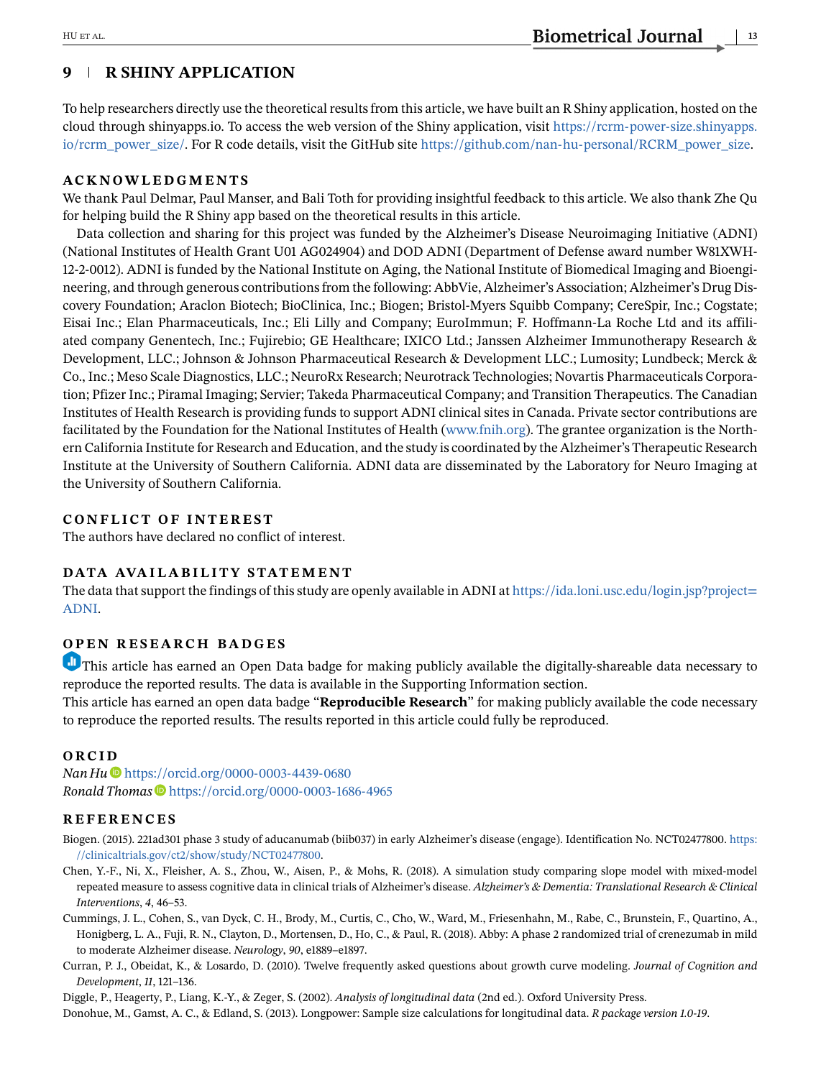# <span id="page-12-0"></span>**9 R SHINY APPLICATION**

To help researchers directly use the theoretical results from this article, we have built an R Shiny application, hosted on the cloud through shinyapps.io. To access the web version of the Shiny application, visit [https://rcrm-power-size.shinyapps.](https://rcrm-power-size.shinyapps.io/rcrm_power_size/) [io/rcrm\\_power\\_size/.](https://rcrm-power-size.shinyapps.io/rcrm_power_size/) For R code details, visit the GitHub site [https://github.com/nan-hu-personal/RCRM\\_power\\_size.](https://github.com/nan-hu-personal/RCRM_power_size)

#### **ACKNOWLEDGMENTS**

We thank Paul Delmar, Paul Manser, and Bali Toth for providing insightful feedback to this article. We also thank Zhe Qu for helping build the R Shiny app based on the theoretical results in this article.

Data collection and sharing for this project was funded by the Alzheimer's Disease Neuroimaging Initiative (ADNI) (National Institutes of Health Grant U01 AG024904) and DOD ADNI (Department of Defense award number W81XWH-12-2-0012). ADNI is funded by the National Institute on Aging, the National Institute of Biomedical Imaging and Bioengineering, and through generous contributions from the following: AbbVie, Alzheimer's Association; Alzheimer's Drug Discovery Foundation; Araclon Biotech; BioClinica, Inc.; Biogen; Bristol-Myers Squibb Company; CereSpir, Inc.; Cogstate; Eisai Inc.; Elan Pharmaceuticals, Inc.; Eli Lilly and Company; EuroImmun; F. Hoffmann-La Roche Ltd and its affiliated company Genentech, Inc.; Fujirebio; GE Healthcare; IXICO Ltd.; Janssen Alzheimer Immunotherapy Research & Development, LLC.; Johnson & Johnson Pharmaceutical Research & Development LLC.; Lumosity; Lundbeck; Merck & Co., Inc.; Meso Scale Diagnostics, LLC.; NeuroRx Research; Neurotrack Technologies; Novartis Pharmaceuticals Corporation; Pfizer Inc.; Piramal Imaging; Servier; Takeda Pharmaceutical Company; and Transition Therapeutics. The Canadian Institutes of Health Research is providing funds to support ADNI clinical sites in Canada. Private sector contributions are facilitated by the Foundation for the National Institutes of Health [\(www.fnih.org\)](http://www.fnih.org). The grantee organization is the Northern California Institute for Research and Education, and the study is coordinated by the Alzheimer's Therapeutic Research Institute at the University of Southern California. ADNI data are disseminated by the Laboratory for Neuro Imaging at the University of Southern California.

# **CONFLICT OF INTEREST**

The authors have declared no conflict of interest.

#### **DATA AVAILABILITY STATEMENT**

The data that support the findings of this study are openly available in ADNI at [https://ida.loni.usc.edu/login.jsp?project=](https://ida.loni.usc.edu/login.jsp?project=ADNI) [ADNI.](https://ida.loni.usc.edu/login.jsp?project=ADNI)

## **OPEN RESEARCH BADGES**

This article has earned an Open Data badge for making publicly available the digitally-shareable data necessary to reproduce the reported results. The data is available in the Supporting Information section.

This article has earned an open data badge "**Reproducible Research**" for making publicly available the code necessary to reproduce the reported results. The results reported in this article could fully be reproduced.

#### **ORCID**

*Nan Hu* <https://orcid.org/0000-0003-4439-0680> **Ronald Thomas** <https://orcid.org/0000-0003-1686-4965>

#### **REFERENCES**

Biogen. (2015). 221ad301 phase 3 study of aducanumab (biib037) in early Alzheimer's disease (engage). Identification No. NCT02477800. [https:](https://clinicaltrials.gov/ct2/show/study/NCT02477800) [//clinicaltrials.gov/ct2/show/study/NCT02477800.](https://clinicaltrials.gov/ct2/show/study/NCT02477800)

- Chen, Y.-F., Ni, X., Fleisher, A. S., Zhou, W., Aisen, P., & Mohs, R. (2018). A simulation study comparing slope model with mixed-model repeated measure to assess cognitive data in clinical trials of Alzheimer's disease. *Alzheimer's & Dementia: Translational Research & Clinical Interventions*, *4*, 46–53.
- Cummings, J. L., Cohen, S., van Dyck, C. H., Brody, M., Curtis, C., Cho, W., Ward, M., Friesenhahn, M., Rabe, C., Brunstein, F., Quartino, A., Honigberg, L. A., Fuji, R. N., Clayton, D., Mortensen, D., Ho, C., & Paul, R. (2018). Abby: A phase 2 randomized trial of crenezumab in mild to moderate Alzheimer disease. *Neurology*, *90*, e1889–e1897.
- Curran, P. J., Obeidat, K., & Losardo, D. (2010). Twelve frequently asked questions about growth curve modeling. *Journal of Cognition and Development*, *11*, 121–136.

Diggle, P., Heagerty, P., Liang, K.-Y., & Zeger, S. (2002). *Analysis of longitudinal data* (2nd ed.). Oxford University Press.

Donohue, M., Gamst, A. C., & Edland, S. (2013). Longpower: Sample size calculations for longitudinal data. *R package version 1.0-19*.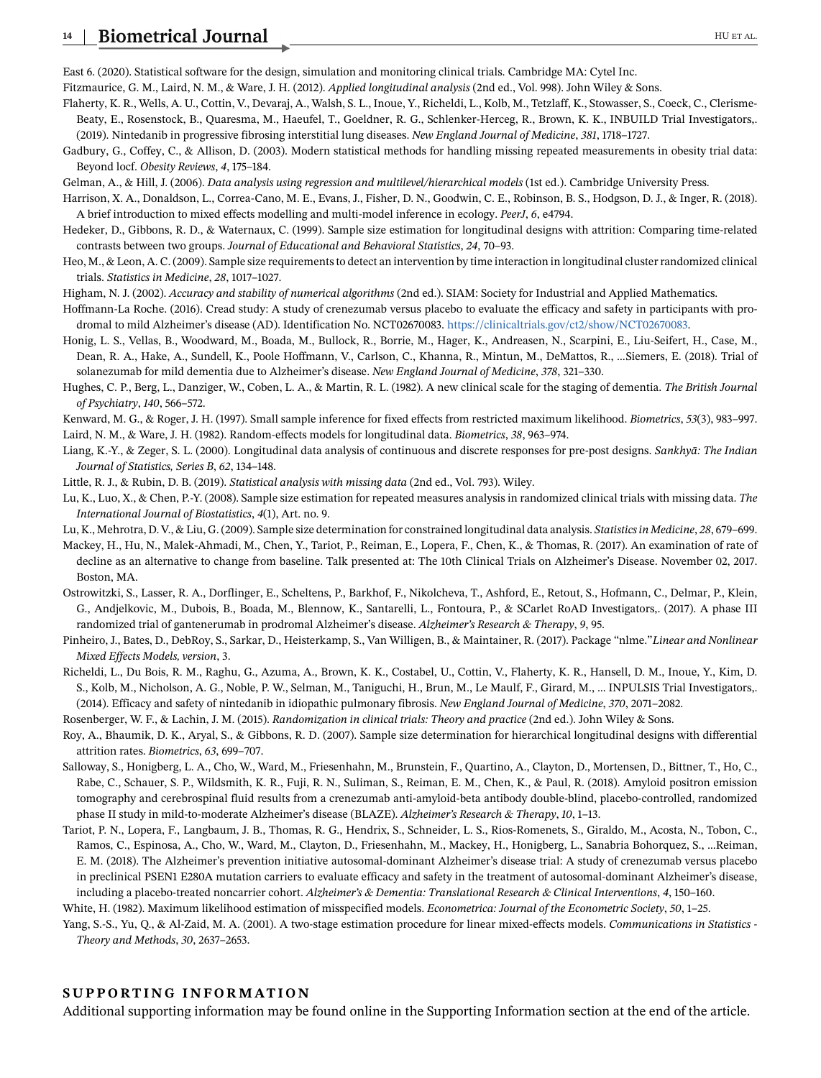# <span id="page-13-0"></span>**14** | **Biometrical Journal 14** HU ET AL.

East 6. (2020). Statistical software for the design, simulation and monitoring clinical trials. Cambridge MA: Cytel Inc.

Fitzmaurice, G. M., Laird, N. M., & Ware, J. H. (2012). *Applied longitudinal analysis* (2nd ed., Vol. 998). John Wiley & Sons.

- Flaherty, K. R., Wells, A. U., Cottin, V., Devaraj, A., Walsh, S. L., Inoue, Y., Richeldi, L., Kolb, M., Tetzlaff, K., Stowasser, S., Coeck, C., Clerisme-Beaty, E., Rosenstock, B., Quaresma, M., Haeufel, T., Goeldner, R. G., Schlenker-Herceg, R., Brown, K. K., INBUILD Trial Investigators,. (2019). Nintedanib in progressive fibrosing interstitial lung diseases. *New England Journal of Medicine*, *381*, 1718–1727.
- Gadbury, G., Coffey, C., & Allison, D. (2003). Modern statistical methods for handling missing repeated measurements in obesity trial data: Beyond locf. *Obesity Reviews*, *4*, 175–184.
- Gelman, A., & Hill, J. (2006). *Data analysis using regression and multilevel/hierarchical models* (1st ed.). Cambridge University Press.
- Harrison, X. A., Donaldson, L., Correa-Cano, M. E., Evans, J., Fisher, D. N., Goodwin, C. E., Robinson, B. S., Hodgson, D. J., & Inger, R. (2018). A brief introduction to mixed effects modelling and multi-model inference in ecology. *PeerJ*, *6*, e4794.
- Hedeker, D., Gibbons, R. D., & Waternaux, C. (1999). Sample size estimation for longitudinal designs with attrition: Comparing time-related contrasts between two groups. *Journal of Educational and Behavioral Statistics*, *24*, 70–93.
- Heo, M., & Leon, A. C. (2009). Sample size requirements to detect an intervention by time interaction in longitudinal cluster randomized clinical trials. *Statistics in Medicine*, *28*, 1017–1027.

Higham, N. J. (2002). *Accuracy and stability of numerical algorithms* (2nd ed.). SIAM: Society for Industrial and Applied Mathematics.

- Hoffmann-La Roche. (2016). Cread study: A study of crenezumab versus placebo to evaluate the efficacy and safety in participants with prodromal to mild Alzheimer's disease (AD). Identification No. NCT02670083. [https://clinicaltrials.gov/ct2/show/NCT02670083.](https://clinicaltrials.gov/ct2/show/NCT02670083)
- Honig, L. S., Vellas, B., Woodward, M., Boada, M., Bullock, R., Borrie, M., Hager, K., Andreasen, N., Scarpini, E., Liu-Seifert, H., Case, M., Dean, R. A., Hake, A., Sundell, K., Poole Hoffmann, V., Carlson, C., Khanna, R., Mintun, M., DeMattos, R., …Siemers, E. (2018). Trial of solanezumab for mild dementia due to Alzheimer's disease. *New England Journal of Medicine*, *378*, 321–330.
- Hughes, C. P., Berg, L., Danziger, W., Coben, L. A., & Martin, R. L. (1982). A new clinical scale for the staging of dementia. *The British Journal of Psychiatry*, *140*, 566–572.
- Kenward, M. G., & Roger, J. H. (1997). Small sample inference for fixed effects from restricted maximum likelihood. *Biometrics*, *53*(3), 983–997.

Laird, N. M., & Ware, J. H. (1982). Random-effects models for longitudinal data. *Biometrics*, *38*, 963–974.

- Liang, K.-Y., & Zeger, S. L. (2000). Longitudinal data analysis of continuous and discrete responses for pre-post designs. *Sankhya: The Indian ¯ Journal of Statistics, Series B*, *62*, 134–148.
- Little, R. J., & Rubin, D. B. (2019). *Statistical analysis with missing data* (2nd ed., Vol. 793). Wiley.
- Lu, K., Luo, X., & Chen, P.-Y. (2008). Sample size estimation for repeated measures analysis in randomized clinical trials with missing data. *The International Journal of Biostatistics*, *4*(1), Art. no. 9.
- Lu, K., Mehrotra, D. V., & Liu, G. (2009). Sample size determination for constrained longitudinal data analysis. *Statistics in Medicine*, *28*, 679–699.
- Mackey, H., Hu, N., Malek-Ahmadi, M., Chen, Y., Tariot, P., Reiman, E., Lopera, F., Chen, K., & Thomas, R. (2017). An examination of rate of decline as an alternative to change from baseline. Talk presented at: The 10th Clinical Trials on Alzheimer's Disease. November 02, 2017. Boston, MA.
- Ostrowitzki, S., Lasser, R. A., Dorflinger, E., Scheltens, P., Barkhof, F., Nikolcheva, T., Ashford, E., Retout, S., Hofmann, C., Delmar, P., Klein, G., Andjelkovic, M., Dubois, B., Boada, M., Blennow, K., Santarelli, L., Fontoura, P., & SCarlet RoAD Investigators,. (2017). A phase III randomized trial of gantenerumab in prodromal Alzheimer's disease. *Alzheimer's Research & Therapy*, *9*, 95.
- Pinheiro, J., Bates, D., DebRoy, S., Sarkar, D., Heisterkamp, S., Van Willigen, B., & Maintainer, R. (2017). Package "nlme."*Linear and Nonlinear Mixed Effects Models, version*, 3.
- Richeldi, L., Du Bois, R. M., Raghu, G., Azuma, A., Brown, K. K., Costabel, U., Cottin, V., Flaherty, K. R., Hansell, D. M., Inoue, Y., Kim, D. S., Kolb, M., Nicholson, A. G., Noble, P. W., Selman, M., Taniguchi, H., Brun, M., Le Maulf, F., Girard, M., … INPULSIS Trial Investigators,. (2014). Efficacy and safety of nintedanib in idiopathic pulmonary fibrosis. *New England Journal of Medicine*, *370*, 2071–2082.
- Rosenberger, W. F., & Lachin, J. M. (2015). *Randomization in clinical trials: Theory and practice* (2nd ed.). John Wiley & Sons.
- Roy, A., Bhaumik, D. K., Aryal, S., & Gibbons, R. D. (2007). Sample size determination for hierarchical longitudinal designs with differential attrition rates. *Biometrics*, *63*, 699–707.
- Salloway, S., Honigberg, L. A., Cho, W., Ward, M., Friesenhahn, M., Brunstein, F., Quartino, A., Clayton, D., Mortensen, D., Bittner, T., Ho, C., Rabe, C., Schauer, S. P., Wildsmith, K. R., Fuji, R. N., Suliman, S., Reiman, E. M., Chen, K., & Paul, R. (2018). Amyloid positron emission tomography and cerebrospinal fluid results from a crenezumab anti-amyloid-beta antibody double-blind, placebo-controlled, randomized phase II study in mild-to-moderate Alzheimer's disease (BLAZE). *Alzheimer's Research & Therapy*, *10*, 1–13.
- Tariot, P. N., Lopera, F., Langbaum, J. B., Thomas, R. G., Hendrix, S., Schneider, L. S., Rios-Romenets, S., Giraldo, M., Acosta, N., Tobon, C., Ramos, C., Espinosa, A., Cho, W., Ward, M., Clayton, D., Friesenhahn, M., Mackey, H., Honigberg, L., Sanabria Bohorquez, S., …Reiman, E. M. (2018). The Alzheimer's prevention initiative autosomal-dominant Alzheimer's disease trial: A study of crenezumab versus placebo in preclinical PSEN1 E280A mutation carriers to evaluate efficacy and safety in the treatment of autosomal-dominant Alzheimer's disease, including a placebo-treated noncarrier cohort. *Alzheimer's & Dementia: Translational Research & Clinical Interventions*, *4*, 150–160.
- White, H. (1982). Maximum likelihood estimation of misspecified models. *Econometrica: Journal of the Econometric Society*, *50*, 1–25.
- Yang, S.-S., Yu, Q., & Al-Zaid, M. A. (2001). A two-stage estimation procedure for linear mixed-effects models. *Communications in Statistics - Theory and Methods*, *30*, 2637–2653.

#### **SUPPORTING INFORMATION**

Additional supporting information may be found online in the Supporting Information section at the end of the article.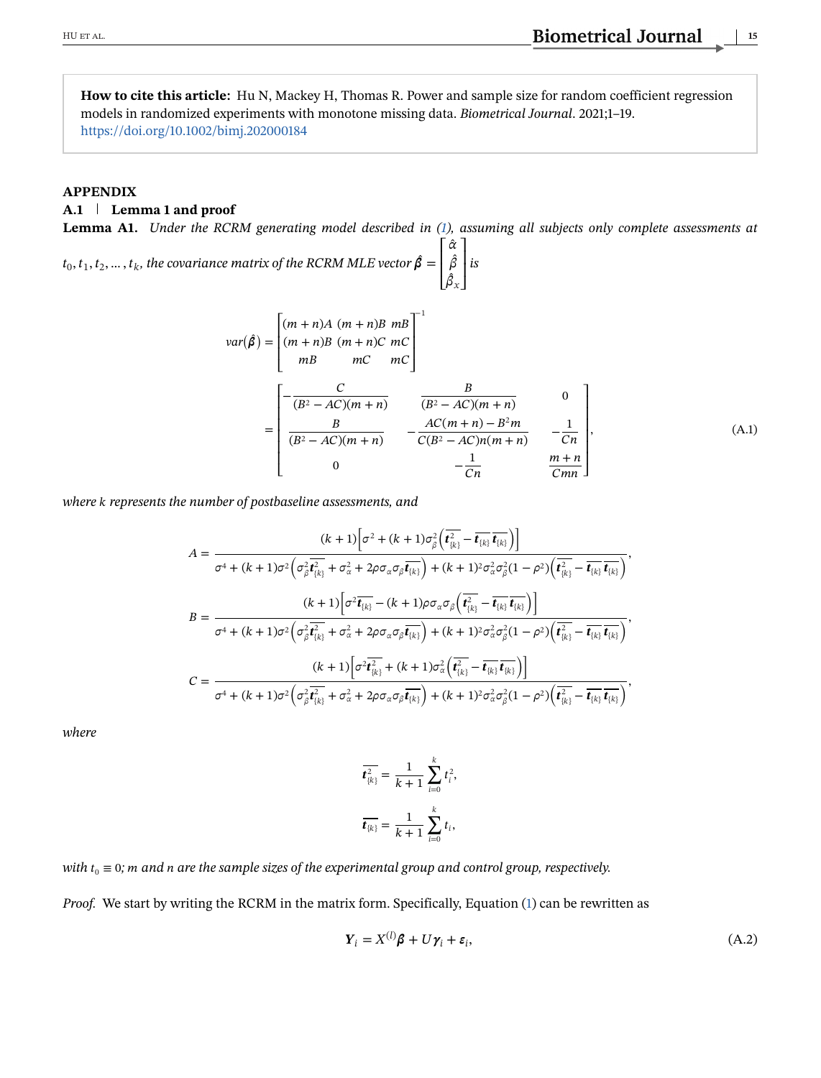<span id="page-14-0"></span>**How to cite this article:** Hu N, Mackey H, Thomas R. Power and sample size for random coefficient regression models in randomized experiments with monotone missing data. *Biometrical Journal*. 2021;1–19. <https://doi.org/10.1002/bimj.202000184>

# **APPENDIX**

# **A.1 Lemma 1 and proof**

**Lemma A1.** *Under the RCRM generating model described in [\(1\)](#page-1-0), assuming all subjects only complete assessments at*

0, 1, 2,…,*, the covariance matrix of the RCRM MLE vector* =̂ <sup>⎡</sup> ⎢ ⎢ ⎣ ̂  $\hat{\beta}$  $\hat{\beta}_x$ ⎤ ⎥  $\overline{\phantom{a}}$ 

$$
var(\hat{\beta}) = \begin{bmatrix} (m+n)A & (m+n)B & mB \\ (m+n)B & (m+n)C & mC \end{bmatrix}^{-1}
$$
  
\n
$$
= \begin{bmatrix} -\frac{C}{(B^2 - AC)(m+n)} & \frac{B}{(B^2 - AC)(m+n)} & 0 \\ \frac{B}{(B^2 - AC)(m+n)} & -\frac{AC(m+n) - B^2m}{C(B^2 - AC)n(m+n)} & -\frac{1}{Cn} \\ 0 & -\frac{1}{Cn} & \frac{m+n}{Cmn} \end{bmatrix},
$$
\n(A.1)

*is*

*where represents the number of postbaseline assessments, and*

$$
A = \frac{(k+1)\left[\sigma^2 + (k+1)\sigma_\beta^2\left(\overline{t_{ik}}^2 - \overline{t_{ik}}\overline{t_{ik}}\right)\right]}{\sigma^4 + (k+1)\sigma^2\left(\sigma_\beta^2\overline{t_{ik}}^2 + \sigma_\alpha^2 + 2\rho\sigma_\alpha\sigma_\beta\overline{t_{ik}}\right) + (k+1)^2\sigma_\alpha^2\sigma_\beta^2(1-\rho^2)\left(\overline{t_{ik}}^2 - \overline{t_{ik}}\overline{t_{ik}}\overline{t_{ik}}\right)},
$$
\n
$$
B = \frac{(k+1)\left[\sigma^2\overline{t_{ik}} - (k+1)\rho\sigma_\alpha\sigma_\beta\left(\overline{t_{ik}}^2 - \overline{t_{ik}}\overline{t_{ik}}\right)\right]}{\sigma^4 + (k+1)\sigma^2\left(\sigma_\beta^2\overline{t_{ik}}^2 + \sigma_\alpha^2 + 2\rho\sigma_\alpha\sigma_\beta\overline{t_{ik}}\right) + (k+1)^2\sigma_\alpha^2\sigma_\beta^2(1-\rho^2)\left(\overline{t_{ik}}^2 - \overline{t_{ik}}\overline{t_{ik}}\right)},
$$
\n
$$
C = \frac{(k+1)\left[\sigma^2\overline{t_{ik}}^2 + (k+1)\sigma_\alpha^2\left(\overline{t_{ik}}^2 - \overline{t_{ik}}\overline{t_{ik}}\right)\right]}{\sigma^4 + (k+1)\sigma^2\left(\sigma_\beta^2\overline{t_{ik}}^2 + \sigma_\alpha^2 + 2\rho\sigma_\alpha\sigma_\beta\overline{t_{ik}}\right) + (k+1)^2\sigma_\alpha^2\sigma_\beta^2(1-\rho^2)\left(\overline{t_{ik}}^2 - \overline{t_{ik}}\overline{t_{ik}}\right)},
$$

*where*

$$
\overline{t_{\{k\}}^2} = \frac{1}{k+1} \sum_{i=0}^k t_i^2,
$$
  

$$
\overline{t_{\{k\}}} = \frac{1}{k+1} \sum_{i=0}^k t_i,
$$

*with*  $t_0 \equiv 0$ ; *m* and *n* are the sample sizes of the experimental group and control group, respectively.

*Proof.* We start by writing the RCRM in the matrix form. Specifically, Equation [\(1\)](#page-1-0) can be rewritten as

$$
\boldsymbol{Y}_i = \boldsymbol{X}^{(l)} \boldsymbol{\beta} + \boldsymbol{U} \boldsymbol{\gamma}_i + \boldsymbol{\varepsilon}_i, \tag{A.2}
$$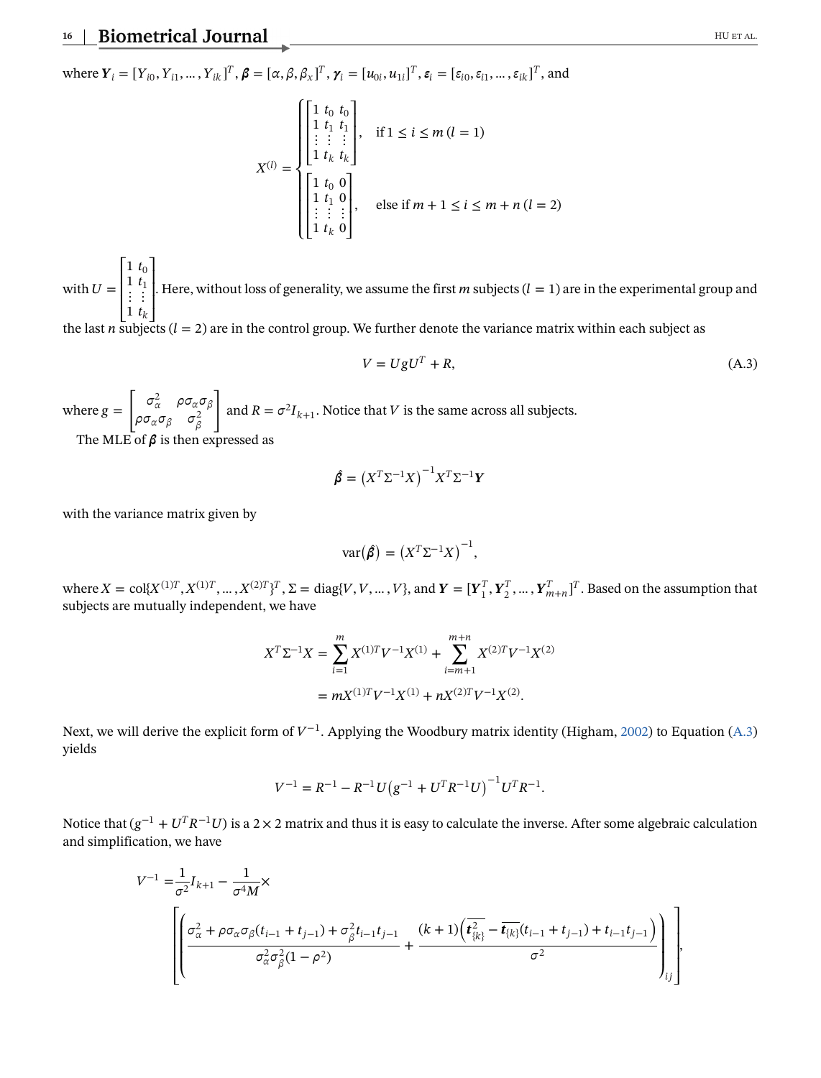where  $\boldsymbol{Y}_i = [Y_{i0}, Y_{i1}, \dots, Y_{ik}]^T$ ,  $\boldsymbol{\beta} = [\alpha, \beta, \beta_x]^T$ ,  $\boldsymbol{\gamma}_i = [u_{0i}, u_{1i}]^T$ ,  $\boldsymbol{\varepsilon}_i = [\varepsilon_{i0}, \varepsilon_{i1}, \dots, \varepsilon_{ik}]^T$ , and

$$
X^{(l)} = \begin{cases} \begin{bmatrix} 1 & t_0 & t_0 \\ 1 & t_1 & t_1 \\ \vdots & \vdots & \vdots \\ 1 & t_k & t_k \end{bmatrix}, & \text{if } 1 \le i \le m \, (l = 1) \\ \begin{bmatrix} 1 & t_0 & 0 \\ 1 & t_1 & 0 \\ \vdots & \vdots & \vdots \\ 1 & t_k & 0 \end{bmatrix}, & \text{else if } m + 1 \le i \le m + n \, (l = 2) \end{cases}
$$

with  $U =$ ⎡ ⎢ ⎢ ⎢ ⎣  $1 t_0$  $1 t_1$  $\vdots$  $1 t_k$  $\overline{\phantom{a}}$  $\overline{\phantom{a}}$ ⎥  $\frac{1}{2}$ . Here, without loss of generality, we assume the first  $m$  subjects ( $l=1$  ) are in the experimental group and the last *n* subjects ( $l = 2$ ) are in the control group. We further denote the variance matrix within each subject as

$$
V = UgU^T + R,\tag{A.3}
$$

where  $g = \begin{bmatrix} \sigma_{\alpha}^2 & \rho \sigma_{\alpha} \sigma_{\beta} \\ \rho \sigma_{\alpha} \sigma_{\beta} & \sigma_{\alpha}^2 \end{bmatrix}$ ρσ<sub>α</sub>σ<sub>β</sub> σ $^2_\beta$  $\overline{a}$ and  $R = \sigma^2 I_{k+1}$ . Notice that V is the same across all subjects.

The MLE of  $\beta$  is then expressed as

$$
\hat{\beta} = \left( X^T \Sigma^{-1} X \right)^{-1} X^T \Sigma^{-1} Y
$$

with the variance matrix given by

$$
\text{var}(\hat{\beta}) = \left(X^T \Sigma^{-1} X\right)^{-1},
$$

where  $X = col\{X^{(1)T}, X^{(1)T}, ..., X^{(2)T}\}^T$ ,  $\Sigma = diag\{V, V, ..., V\}$ , and  $Y = [Y_1^T, Y_2^T, ..., Y_{m+n}^T]^T$ . Based on the assumption that subjects are mutually independent, we have

$$
X^{T} \Sigma^{-1} X = \sum_{i=1}^{m} X^{(1)T} V^{-1} X^{(1)} + \sum_{i=m+1}^{m+n} X^{(2)T} V^{-1} X^{(2)}
$$

$$
= m X^{(1)T} V^{-1} X^{(1)} + n X^{(2)T} V^{-1} X^{(2)}.
$$

Next, we will derive the explicit form of  $V^{-1}$ . Applying the Woodbury matrix identity (Higham, [2002\)](#page-13-0) to Equation (A.3) yields

$$
V^{-1} = R^{-1} - R^{-1}U(g^{-1} + U^T R^{-1} U)^{-1} U^T R^{-1}.
$$

Notice that  $(g^{-1} + U^{T}R^{-1}U)$  is a 2 × 2 matrix and thus it is easy to calculate the inverse. After some algebraic calculation and simplification, we have

$$
V^{-1} = \frac{1}{\sigma^2} I_{k+1} - \frac{1}{\sigma^4 M} \times
$$
\n
$$
\left[ \left( \frac{\sigma_\alpha^2 + \rho \sigma_\alpha \sigma_\beta (t_{i-1} + t_{j-1}) + \sigma_\beta^2 t_{i-1} t_{j-1}}{\sigma_\alpha^2 \sigma_\beta^2 (1 - \rho^2)} + \frac{(k+1) \left( \overline{t_{\{k\}}^2} - \overline{t_{\{k\}}}(t_{i-1} + t_{j-1}) + t_{i-1} t_{j-1})}{\sigma^2} \right)_{ij} \right],
$$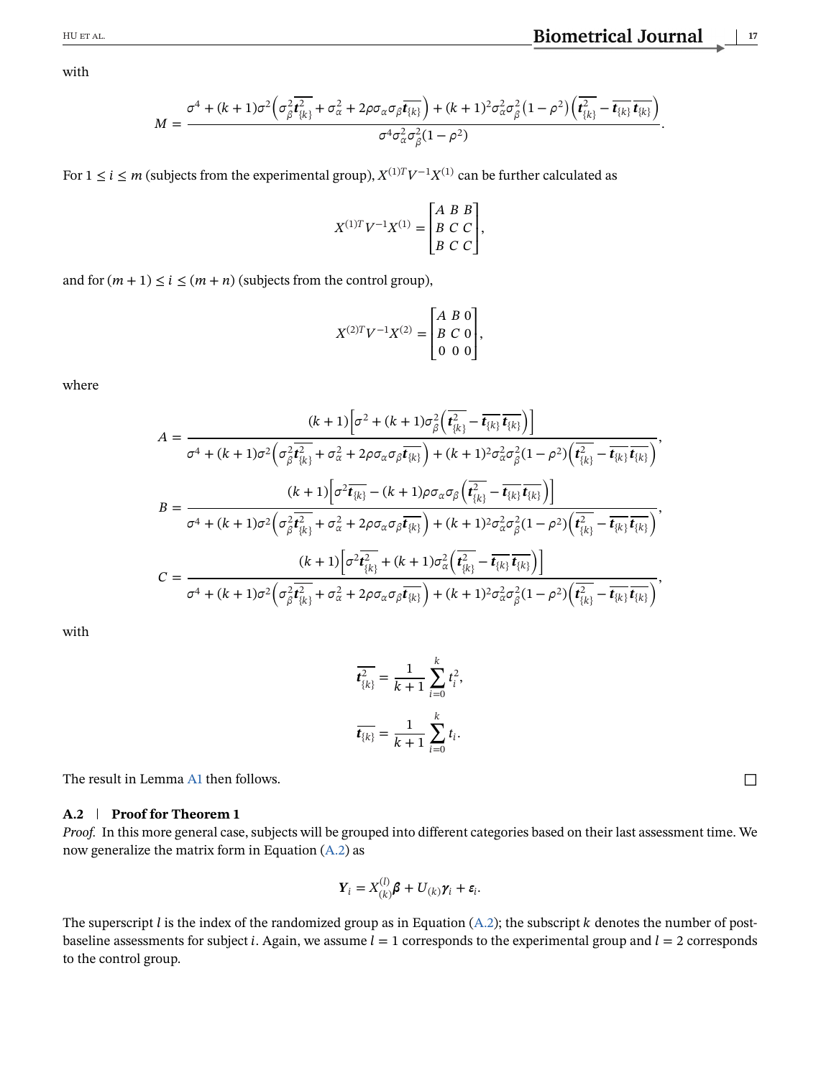<span id="page-16-0"></span>with

$$
M=\frac{\sigma^4+(k+1)\sigma^2\left(\sigma_\beta^2\overline{\boldsymbol{t}_{\{k\}}^2}+\sigma_\alpha^2+2\rho\sigma_\alpha\sigma_\beta\overline{\boldsymbol{t}_{\{k\}}}\right)+(k+1)^2\sigma_\alpha^2\sigma_\beta^2\left(1-\rho^2\right)\left(\overline{\boldsymbol{t}_{\{k\}}^2}-\overline{\boldsymbol{t}_{\{k\}}}\overline{\boldsymbol{t}_{\{k\}}}\right)}{\sigma^4\sigma_\alpha^2\sigma_\beta^2(1-\rho^2)}.
$$

For  $1 \le i \le m$  (subjects from the experimental group),  $X^{(1)T}V^{-1}X^{(1)}$  can be further calculated as

$$
X^{(1)T}V^{-1}X^{(1)} = \begin{bmatrix} A & B & B \\ B & C & C \\ B & C & C \end{bmatrix},
$$

and for  $(m + 1) \le i \le (m + n)$  (subjects from the control group),

$$
X^{(2)T}V^{-1}X^{(2)} = \begin{bmatrix} A & B & 0 \\ B & C & 0 \\ 0 & 0 & 0 \end{bmatrix},
$$

where

$$
A = \frac{(k+1)\left[\sigma^2 + (k+1)\sigma_\beta^2\left(\overline{t_{\{k\}}^2} - \overline{t_{\{k\}}}\overline{t_{\{k\}}}\right)\right]}{\sigma^4 + (k+1)\sigma^2\left(\sigma_\beta^2\overline{t_{\{k\}}^2} + \sigma_\alpha^2 + 2\rho\sigma_\alpha\sigma_\beta\overline{t_{\{k\}}}\right) + (k+1)^2\sigma_\alpha^2\sigma_\beta^2(1-\rho^2)\left(\overline{t_{\{k\}}^2} - \overline{t_{\{k\}}}\overline{t_{\{k\}}}\right)},
$$
\n
$$
B = \frac{(k+1)\left[\sigma^2\overline{t_{\{k\}}} - (k+1)\rho\sigma_\alpha\sigma_\beta\left(\overline{t_{\{k\}}^2} - \overline{t_{\{k\}}}\overline{t_{\{k\}}}\right)\right]}{\sigma^4 + (k+1)\sigma^2\left(\sigma_\beta^2\overline{t_{\{k\}}^2} + \sigma_\alpha^2 + 2\rho\sigma_\alpha\sigma_\beta\overline{t_{\{k\}}}\right) + (k+1)^2\sigma_\alpha^2\sigma_\beta^2(1-\rho^2)\left(\overline{t_{\{k\}}^2} - \overline{t_{\{k\}}}\overline{t_{\{k\}}}\right)},
$$
\n
$$
C = \frac{(k+1)\left[\sigma^2\overline{t_{\{k\}}^2} + (k+1)\sigma_\alpha^2\left(\overline{t_{\{k\}}^2} - \overline{t_{\{k\}}}\overline{t_{\{k\}}}\right)\right]}{\sigma^4 + (k+1)\sigma^2\left(\sigma_\beta^2\overline{t_{\{k\}}^2} + \sigma_\alpha^2 + 2\rho\sigma_\alpha\sigma_\beta\overline{t_{\{k\}}}\right) + (k+1)^2\sigma_\alpha^2\sigma_\beta^2(1-\rho^2)\left(\overline{t_{\{k\}}^2} - \overline{t_{\{k\}}}\overline{t_{\{k\}}}\right)},
$$

with

$$
\overline{t_{\{k\}}^2} = \frac{1}{k+1} \sum_{i=0}^k t_i^2,
$$
  

$$
\overline{t_{\{k\}}} = \frac{1}{k+1} \sum_{i=0}^k t_i.
$$

The result in Lemma [A1](#page-14-0) then follows.  $\Box$ 

# **A.2 Proof for Theorem 1**

*Proof.* In this more general case, subjects will be grouped into different categories based on their last assessment time. We now generalize the matrix form in Equation [\(A.2\)](#page-14-0) as

$$
\boldsymbol{Y}_i = \boldsymbol{X}_{(k)}^{(l)} \boldsymbol{\beta} + \boldsymbol{U}_{(k)} \boldsymbol{\gamma}_i + \boldsymbol{\varepsilon}_i.
$$

The superscript  $l$  is the index of the randomized group as in Equation [\(A.2\)](#page-14-0); the subscript  $k$  denotes the number of postbaseline assessments for subject *i*. Again, we assume  $l = 1$  corresponds to the experimental group and  $l = 2$  corresponds to the control group.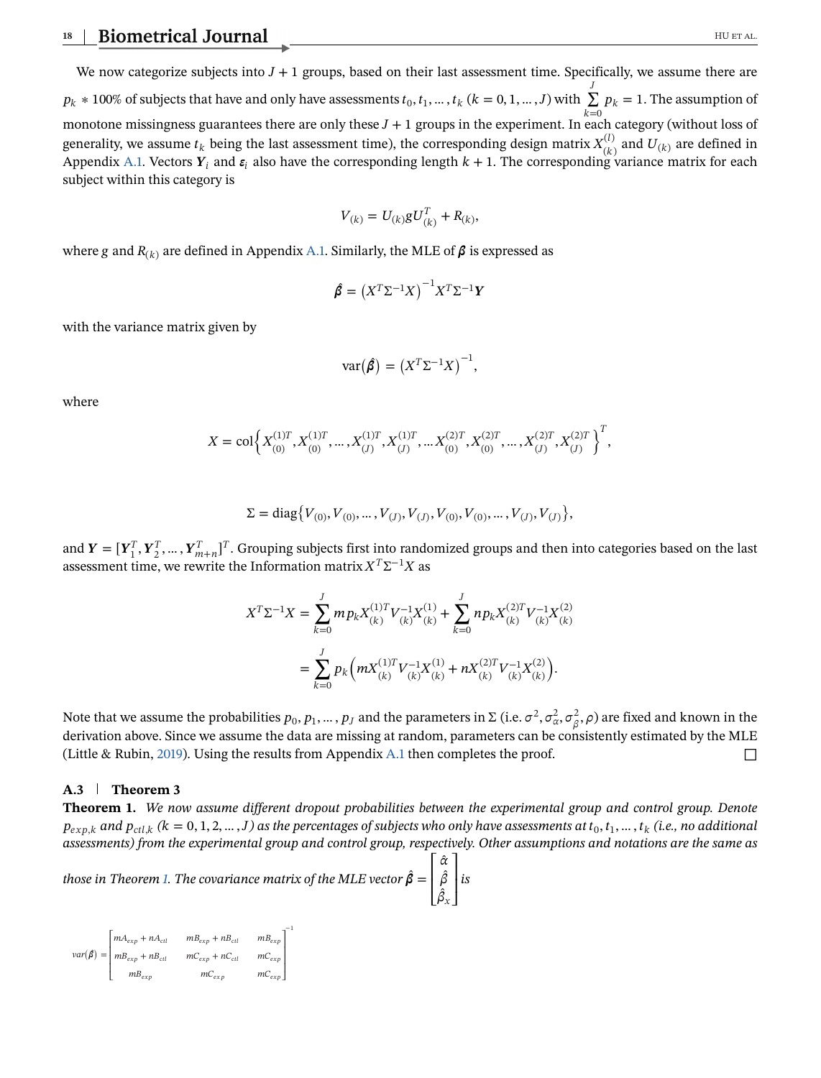<span id="page-17-0"></span>generality, we assume  $t_k$  being the last assessment time), the corresponding design matrix  $X_{(k)}^{(l)}$  and  $U_{(k)}$  are defined in Appendix [A.1.](#page-14-0) Vectors  $\mathbf{Y}_i$  and  $\mathbf{\varepsilon}_i$  also have the corresponding length  $k+1$ . The corresponding variance matrix for each subject within this category is

$$
V_{(k)} = U_{(k)} g U_{(k)}^T + R_{(k)},
$$

where g and  $R_{(k)}$  are defined in Appendix [A.1.](#page-14-0) Similarly, the MLE of  $\beta$  is expressed as

$$
\hat{\beta} = \left( X^T \Sigma^{-1} X \right)^{-1} X^T \Sigma^{-1} Y
$$

with the variance matrix given by

$$
\text{var}(\hat{\beta}) = (X^T \Sigma^{-1} X)^{-1},
$$

where

$$
X = \text{col}\Big\{X_{(0)}^{(1)T}, X_{(0)}^{(1)T}, \dots, X_{(J)}^{(1)T}, X_{(J)}^{(1)T}, \dots X_{(0)}^{(2)T}, X_{(0)}^{(2)T}, \dots, X_{(J)}^{(2)T}, X_{(J)}^{(2)T}\Big\}^T,
$$

$$
\Sigma = diag\{V_{(0)}, V_{(0)}, \dots, V_{(J)}, V_{(J)}, V_{(0)}, V_{(0)}, \dots, V_{(J)}, V_{(J)}\},\
$$

and  $\bm{Y} = [\bm{Y}_1^T, \bm{Y}_2^T, \dots, \bm{Y}_{m+n}^T]^T$ . Grouping subjects first into randomized groups and then into categories based on the last assessment time, we rewrite the Information matrix  $X^T\Sigma^{-1}X$  as

$$
X^T \Sigma^{-1} X = \sum_{k=0}^J m p_k X_{(k)}^{(1)T} V_{(k)}^{-1} X_{(k)}^{(1)} + \sum_{k=0}^J n p_k X_{(k)}^{(2)T} V_{(k)}^{-1} X_{(k)}^{(2)}
$$
  
= 
$$
\sum_{k=0}^J p_k \left( m X_{(k)}^{(1)T} V_{(k)}^{-1} X_{(k)}^{(1)} + n X_{(k)}^{(2)T} V_{(k)}^{-1} X_{(k)}^{(2)} \right).
$$

Note that we assume the probabilities  $p_0, p_1, \dots, p_J$  and the parameters in Σ (i.e.  $\sigma^2, \sigma^2_{\alpha}, \sigma^2_{\beta}, \rho$ ) are fixed and known in the derivation above. Since we assume the data are missing at random, parameters can be consistently estimated by the MLE (Little & Rubin, [2019\)](#page-13-0). Using the results from Appendix [A.1](#page-14-0) then completes the proof.  $\Box$ 

#### **A.3 Theorem 3**

**Theorem 1.** *We now assume different dropout probabilities between the experimental group and control group. Denote*  $p_{exp,k}$  and  $p_{ctrl,k}$  ( $k = 0, 1, 2, ..., J$ ) as the percentages of subjects who only have assessments at  $t_0, t_1, ..., t_k$  (i.e., no additional *assessments) from the experimental group and control group, respectively. Other assumptions and notations are the same as*

those in Theorem [1.](#page-4-0) The covariance matrix of the MLE vector  $\hat{\beta} = \begin{bmatrix} 1 & 0 & 0 \\ 0 & 1 & 0 \\ 0 & 1 & 0 \\ 0 & 0 & 1 \end{bmatrix}$ ⎢ ⎣  $\hat{\alpha}$  $\hat{\beta}$  $\hat{\beta}$  $\boldsymbol{\chi}$ ⎤  $\overline{\phantom{a}}$  $\overline{\phantom{a}}$ *is*

$$
var(\hat{\beta}) = \begin{bmatrix} mA_{exp} + nA_{cil} & mB_{exp} + nB_{cil} & mB_{exp} \\ mB_{exp} + nB_{cil} & mC_{exp} + nC_{cil} & mC_{exp} \\ mB_{exp} & mC_{exp} & mC_{exp} \end{bmatrix}^{-1}
$$